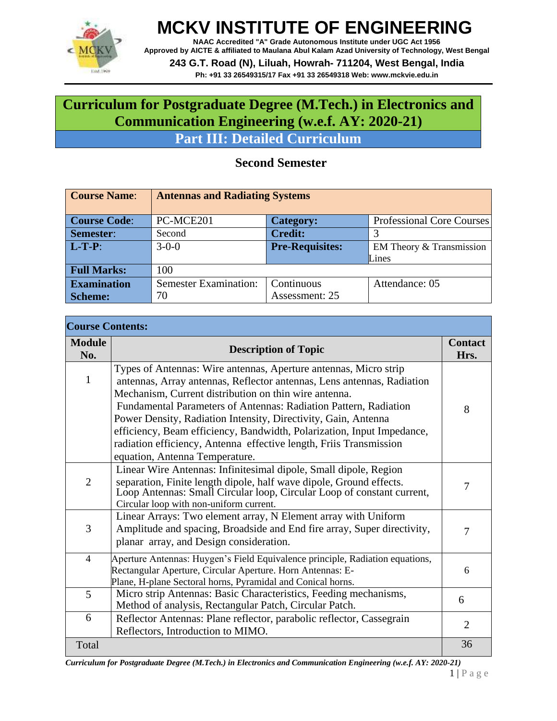

**NAAC Accredited "A" Grade Autonomous Institute under UGC Act 1956 Approved by AICTE & affiliated to Maulana Abul Kalam Azad University of Technology, West Bengal 243 G.T. Road (N), Liluah, Howrah- 711204, West Bengal, India**

**Ph: +91 33 26549315/17 Fax +91 33 26549318 Web: [www.mckvie.edu.in](http://www.mckvie.edu.in/)**

#### **Curriculum for Postgraduate Degree (M.Tech.) in Electronics and Communication Engineering (w.e.f. AY: 2020-21)**

**Part III: Detailed Curriculum**

#### **Second Semester**

| <b>Course Name:</b> | <b>Antennas and Radiating Systems</b> |                        |                           |
|---------------------|---------------------------------------|------------------------|---------------------------|
| <b>Course Code:</b> | PC-MCE201                             | <b>Category:</b>       | Professional Core Courses |
| Semester:           | Second                                | <b>Credit:</b>         |                           |
| $L-T-P$ :           | $3 - 0 - 0$                           | <b>Pre-Requisites:</b> | EM Theory & Transmission  |
|                     |                                       |                        | Lines                     |
| <b>Full Marks:</b>  | 100                                   |                        |                           |
| <b>Examination</b>  | <b>Semester Examination:</b>          | Continuous             | Attendance: 05            |
| <b>Scheme:</b>      | 70                                    | Assessment: 25         |                           |

| <b>Course Contents:</b> |                                                                                                                                                                                                                                                                                                                                                                                                                                                                                                                             |                        |
|-------------------------|-----------------------------------------------------------------------------------------------------------------------------------------------------------------------------------------------------------------------------------------------------------------------------------------------------------------------------------------------------------------------------------------------------------------------------------------------------------------------------------------------------------------------------|------------------------|
| <b>Module</b><br>No.    | <b>Description of Topic</b>                                                                                                                                                                                                                                                                                                                                                                                                                                                                                                 | <b>Contact</b><br>Hrs. |
| $\mathbf{1}$            | Types of Antennas: Wire antennas, Aperture antennas, Micro strip<br>antennas, Array antennas, Reflector antennas, Lens antennas, Radiation<br>Mechanism, Current distribution on thin wire antenna.<br>Fundamental Parameters of Antennas: Radiation Pattern, Radiation<br>Power Density, Radiation Intensity, Directivity, Gain, Antenna<br>efficiency, Beam efficiency, Bandwidth, Polarization, Input Impedance,<br>radiation efficiency, Antenna effective length, Friis Transmission<br>equation, Antenna Temperature. | 8                      |
| $\overline{2}$          | Linear Wire Antennas: Infinitesimal dipole, Small dipole, Region<br>separation, Finite length dipole, half wave dipole, Ground effects.<br>Loop Antennas: Small Circular loop, Circular Loop of constant current,<br>Circular loop with non-uniform current.                                                                                                                                                                                                                                                                | $\overline{7}$         |
| 3                       | Linear Arrays: Two element array, N Element array with Uniform<br>Amplitude and spacing, Broadside and End fire array, Super directivity,<br>planar array, and Design consideration.                                                                                                                                                                                                                                                                                                                                        | $\overline{7}$         |
| $\overline{4}$          | Aperture Antennas: Huygen's Field Equivalence principle, Radiation equations,<br>Rectangular Aperture, Circular Aperture. Horn Antennas: E-<br>Plane, H-plane Sectoral horns, Pyramidal and Conical horns.                                                                                                                                                                                                                                                                                                                  | 6                      |
| 5                       | Micro strip Antennas: Basic Characteristics, Feeding mechanisms,<br>Method of analysis, Rectangular Patch, Circular Patch.                                                                                                                                                                                                                                                                                                                                                                                                  | 6                      |
| 6                       | Reflector Antennas: Plane reflector, parabolic reflector, Cassegrain<br>Reflectors, Introduction to MIMO.                                                                                                                                                                                                                                                                                                                                                                                                                   | $\overline{2}$         |
| Total                   |                                                                                                                                                                                                                                                                                                                                                                                                                                                                                                                             | 36                     |

*Curriculum for Postgraduate Degree (M.Tech.) in Electronics and Communication Engineering (w.e.f. AY: 2020-21)*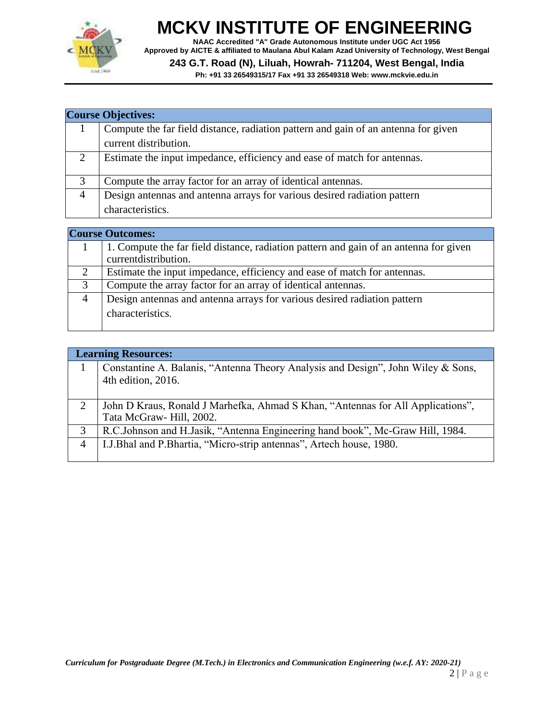

**NAAC Accredited "A" Grade Autonomous Institute under UGC Act 1956 Approved by AICTE & affiliated to Maulana Abul Kalam Azad University of Technology, West Bengal**

**243 G.T. Road (N), Liluah, Howrah- 711204, West Bengal, India**

|                | <b>Course Objectives:</b>                                                          |  |  |
|----------------|------------------------------------------------------------------------------------|--|--|
|                | Compute the far field distance, radiation pattern and gain of an antenna for given |  |  |
|                | current distribution.                                                              |  |  |
| 2              | Estimate the input impedance, efficiency and ease of match for antennas.           |  |  |
| 3              | Compute the array factor for an array of identical antennas.                       |  |  |
| $\overline{4}$ | Design antennas and antenna arrays for various desired radiation pattern           |  |  |
|                | characteristics.                                                                   |  |  |

|   | <b>Course Outcomes:</b>                                                                                        |  |  |
|---|----------------------------------------------------------------------------------------------------------------|--|--|
|   | 1. Compute the far field distance, radiation pattern and gain of an antenna for given<br>current distribution. |  |  |
|   |                                                                                                                |  |  |
| 2 | Estimate the input impedance, efficiency and ease of match for antennas.                                       |  |  |
| 3 | Compute the array factor for an array of identical antennas.                                                   |  |  |
|   | Design antennas and antenna arrays for various desired radiation pattern                                       |  |  |
|   | characteristics.                                                                                               |  |  |

|                | <b>Learning Resources:</b>                                                                                 |
|----------------|------------------------------------------------------------------------------------------------------------|
|                | Constantine A. Balanis, "Antenna Theory Analysis and Design", John Wiley & Sons,<br>4th edition, 2016.     |
| 2              | John D Kraus, Ronald J Marhefka, Ahmad S Khan, "Antennas for All Applications",<br>Tata McGraw-Hill, 2002. |
| 3              | R.C.Johnson and H.Jasik, "Antenna Engineering hand book", Mc-Graw Hill, 1984.                              |
| $\overline{4}$ | I.J.Bhal and P.Bhartia, "Micro-strip antennas", Artech house, 1980.                                        |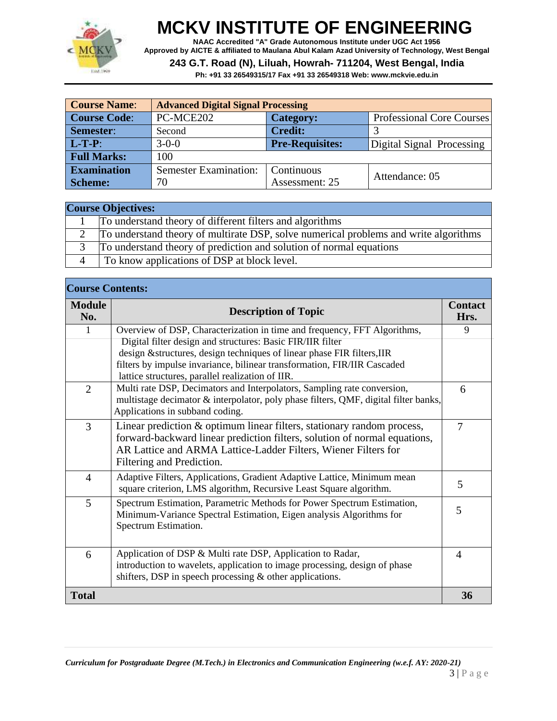

**NAAC Accredited "A" Grade Autonomous Institute under UGC Act 1956 Approved by AICTE & affiliated to Maulana Abul Kalam Azad University of Technology, West Bengal**

**243 G.T. Road (N), Liluah, Howrah- 711204, West Bengal, India**

| <b>Course Name:</b>                                | <b>Advanced Digital Signal Processing</b> |                        |                           |
|----------------------------------------------------|-------------------------------------------|------------------------|---------------------------|
| <b>Course Code:</b>                                | PC-MCE202<br>Category:                    |                        | Professional Core Courses |
| <b>Semester:</b>                                   | Second                                    | <b>Credit:</b>         |                           |
| $L-T-P$ :                                          | $3 - 0 - 0$                               | <b>Pre-Requisites:</b> | Digital Signal Processing |
| <b>Full Marks:</b>                                 | 100                                       |                        |                           |
| <b>Examination</b><br><b>Semester Examination:</b> |                                           | Continuous             | Attendance: 05            |
| <b>Scheme:</b>                                     | 70                                        | Assessment: 25         |                           |

| <b>Course Objectives:</b> |                                                                                      |  |
|---------------------------|--------------------------------------------------------------------------------------|--|
|                           | To understand theory of different filters and algorithms                             |  |
|                           | To understand theory of multirate DSP, solve numerical problems and write algorithms |  |
|                           | To understand theory of prediction and solution of normal equations                  |  |
|                           | To know applications of DSP at block level.                                          |  |

|                      | <b>Course Contents:</b>                                                                                                                                                                           |                        |  |
|----------------------|---------------------------------------------------------------------------------------------------------------------------------------------------------------------------------------------------|------------------------|--|
| <b>Module</b><br>No. | <b>Description of Topic</b>                                                                                                                                                                       | <b>Contact</b><br>Hrs. |  |
| 1                    | Overview of DSP, Characterization in time and frequency, FFT Algorithms,                                                                                                                          | 9                      |  |
|                      | Digital filter design and structures: Basic FIR/IIR filter                                                                                                                                        |                        |  |
|                      | design & structures, design techniques of linear phase FIR filters, IIR<br>filters by impulse invariance, bilinear transformation, FIR/IIR Cascaded                                               |                        |  |
|                      | lattice structures, parallel realization of IIR.                                                                                                                                                  |                        |  |
| $\overline{2}$       | Multi rate DSP, Decimators and Interpolators, Sampling rate conversion,<br>multistage decimator & interpolator, poly phase filters, QMF, digital filter banks,<br>Applications in subband coding. | 6                      |  |
| 3                    | Linear prediction & optimum linear filters, stationary random process,                                                                                                                            | $\overline{7}$         |  |
|                      | forward-backward linear prediction filters, solution of normal equations,                                                                                                                         |                        |  |
|                      | AR Lattice and ARMA Lattice-Ladder Filters, Wiener Filters for                                                                                                                                    |                        |  |
|                      | Filtering and Prediction.                                                                                                                                                                         |                        |  |
| $\overline{4}$       | Adaptive Filters, Applications, Gradient Adaptive Lattice, Minimum mean<br>square criterion, LMS algorithm, Recursive Least Square algorithm.                                                     | 5                      |  |
| 5                    | Spectrum Estimation, Parametric Methods for Power Spectrum Estimation,                                                                                                                            | 5                      |  |
|                      | Minimum-Variance Spectral Estimation, Eigen analysis Algorithms for                                                                                                                               |                        |  |
|                      | Spectrum Estimation.                                                                                                                                                                              |                        |  |
| 6                    | Application of DSP & Multi rate DSP, Application to Radar,                                                                                                                                        | $\overline{4}$         |  |
|                      | introduction to wavelets, application to image processing, design of phase                                                                                                                        |                        |  |
|                      | shifters, DSP in speech processing $&$ other applications.                                                                                                                                        |                        |  |
| <b>Total</b>         |                                                                                                                                                                                                   | 36                     |  |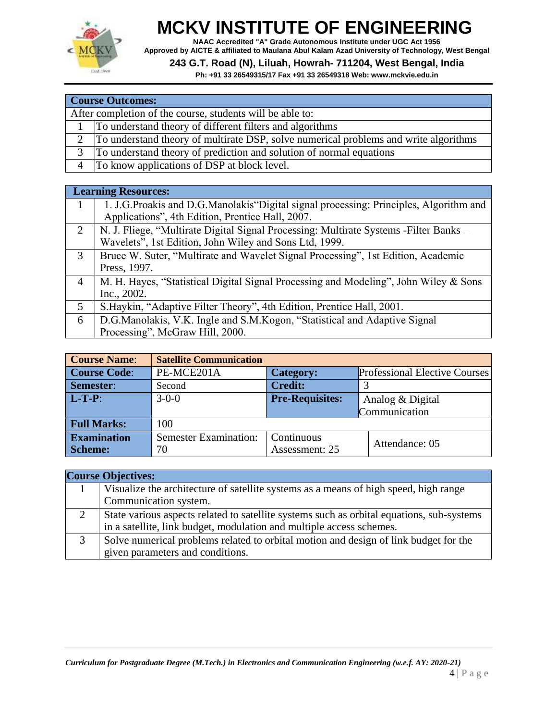

**NAAC Accredited "A" Grade Autonomous Institute under UGC Act 1956 Approved by AICTE & affiliated to Maulana Abul Kalam Azad University of Technology, West Bengal**

#### **243 G.T. Road (N), Liluah, Howrah- 711204, West Bengal, India**

|                | <b>Course Outcomes:</b>                                                              |  |  |
|----------------|--------------------------------------------------------------------------------------|--|--|
|                | After completion of the course, students will be able to:                            |  |  |
|                | To understand theory of different filters and algorithms                             |  |  |
|                | To understand theory of multirate DSP, solve numerical problems and write algorithms |  |  |
| 3              | To understand theory of prediction and solution of normal equations                  |  |  |
| $\overline{4}$ | To know applications of DSP at block level.                                          |  |  |

|                | <b>Learning Resources:</b>                                                             |
|----------------|----------------------------------------------------------------------------------------|
| 1              | 1. J.G.Proakis and D.G.Manolakis"Digital signal processing: Principles, Algorithm and  |
|                | Applications", 4th Edition, Prentice Hall, 2007.                                       |
| 2              | N. J. Fliege, "Multirate Digital Signal Processing: Multirate Systems - Filter Banks - |
|                | Wavelets", 1st Edition, John Wiley and Sons Ltd, 1999.                                 |
| 3              | Bruce W. Suter, "Multirate and Wavelet Signal Processing", 1st Edition, Academic       |
|                | Press, 1997.                                                                           |
| $\overline{4}$ | M. H. Hayes, "Statistical Digital Signal Processing and Modeling", John Wiley & Sons   |
|                | Inc., 2002.                                                                            |
| 5              | S. Haykin, "Adaptive Filter Theory", 4th Edition, Prentice Hall, 2001.                 |
| 6              | D.G.Manolakis, V.K. Ingle and S.M.Kogon, "Statistical and Adaptive Signal              |
|                | Processing", McGraw Hill, 2000.                                                        |

| <b>Course Name:</b> | <b>Satellite Communication</b> |                        |                               |
|---------------------|--------------------------------|------------------------|-------------------------------|
| <b>Course Code:</b> | PE-MCE201A                     | <b>Category:</b>       | Professional Elective Courses |
| Semester:           | Second                         | <b>Credit:</b>         |                               |
| $L-T-P$ :           | $3 - 0 - 0$                    | <b>Pre-Requisites:</b> | Analog & Digital              |
|                     |                                |                        | Communication                 |
| <b>Full Marks:</b>  | 100                            |                        |                               |
| <b>Examination</b>  | <b>Semester Examination:</b>   | Continuous             | Attendance: 05                |
| <b>Scheme:</b>      | 70                             | Assessment: 25         |                               |

|   | <b>Course Objectives:</b>                                                                 |  |  |
|---|-------------------------------------------------------------------------------------------|--|--|
|   | Visualize the architecture of satellite systems as a means of high speed, high range      |  |  |
|   | Communication system.                                                                     |  |  |
| 2 | State various aspects related to satellite systems such as orbital equations, sub-systems |  |  |
|   | in a satellite, link budget, modulation and multiple access schemes.                      |  |  |
| 3 | Solve numerical problems related to orbital motion and design of link budget for the      |  |  |
|   | given parameters and conditions.                                                          |  |  |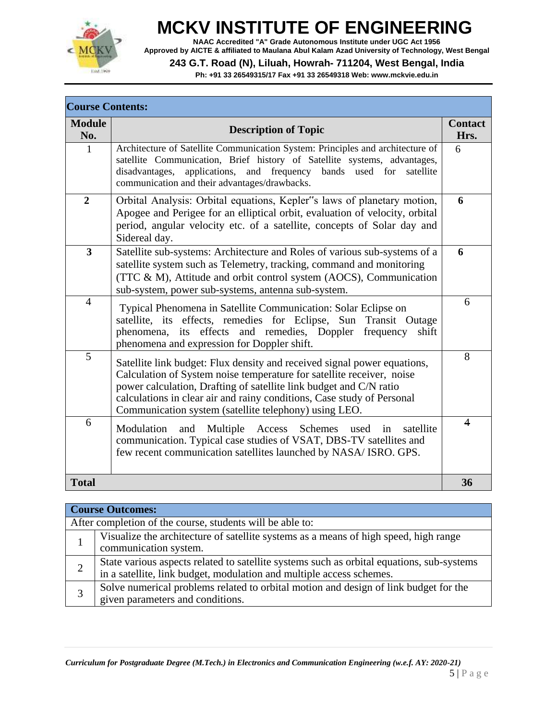

**NAAC Accredited "A" Grade Autonomous Institute under UGC Act 1956 Approved by AICTE & affiliated to Maulana Abul Kalam Azad University of Technology, West Bengal**

#### **243 G.T. Road (N), Liluah, Howrah- 711204, West Bengal, India**

| <b>Course Contents:</b> |                                                                                                                                                                                                                                                                                                                                                            |                        |  |  |
|-------------------------|------------------------------------------------------------------------------------------------------------------------------------------------------------------------------------------------------------------------------------------------------------------------------------------------------------------------------------------------------------|------------------------|--|--|
| <b>Module</b><br>No.    | <b>Description of Topic</b>                                                                                                                                                                                                                                                                                                                                | <b>Contact</b><br>Hrs. |  |  |
| $\mathbf{1}$            | Architecture of Satellite Communication System: Principles and architecture of<br>satellite Communication, Brief history of Satellite systems, advantages,<br>applications,<br>disadvantages,<br>and frequency<br>bands used for<br>satellite<br>communication and their advantages/drawbacks.                                                             | 6                      |  |  |
| $\boldsymbol{2}$        | Orbital Analysis: Orbital equations, Kepler"s laws of planetary motion,<br>Apogee and Perigee for an elliptical orbit, evaluation of velocity, orbital<br>period, angular velocity etc. of a satellite, concepts of Solar day and<br>Sidereal day.                                                                                                         | 6                      |  |  |
| 3                       | Satellite sub-systems: Architecture and Roles of various sub-systems of a<br>satellite system such as Telemetry, tracking, command and monitoring<br>(TTC & M), Attitude and orbit control system (AOCS), Communication<br>sub-system, power sub-systems, antenna sub-system.                                                                              | 6                      |  |  |
| $\overline{4}$          | Typical Phenomena in Satellite Communication: Solar Eclipse on<br>satellite, its effects, remedies for Eclipse, Sun Transit Outage<br>phenomena, its effects and remedies, Doppler<br>frequency<br>shift<br>phenomena and expression for Doppler shift.                                                                                                    | 6                      |  |  |
| 5                       | Satellite link budget: Flux density and received signal power equations,<br>Calculation of System noise temperature for satellite receiver, noise<br>power calculation, Drafting of satellite link budget and C/N ratio<br>calculations in clear air and rainy conditions, Case study of Personal<br>Communication system (satellite telephony) using LEO. | 8                      |  |  |
| 6                       | Modulation<br>and<br>Multiple Access Schemes used<br>satellite<br>in<br>communication. Typical case studies of VSAT, DBS-TV satellites and<br>few recent communication satellites launched by NASA/ISRO. GPS.                                                                                                                                              | $\overline{4}$         |  |  |
| <b>Total</b>            |                                                                                                                                                                                                                                                                                                                                                            | 36                     |  |  |

| <b>Course Outcomes:</b> |                                                                                                                                                                   |  |  |
|-------------------------|-------------------------------------------------------------------------------------------------------------------------------------------------------------------|--|--|
|                         | After completion of the course, students will be able to:                                                                                                         |  |  |
|                         | Visualize the architecture of satellite systems as a means of high speed, high range<br>communication system.                                                     |  |  |
| $\overline{2}$          | State various aspects related to satellite systems such as orbital equations, sub-systems<br>in a satellite, link budget, modulation and multiple access schemes. |  |  |
| 3                       | Solve numerical problems related to orbital motion and design of link budget for the<br>given parameters and conditions.                                          |  |  |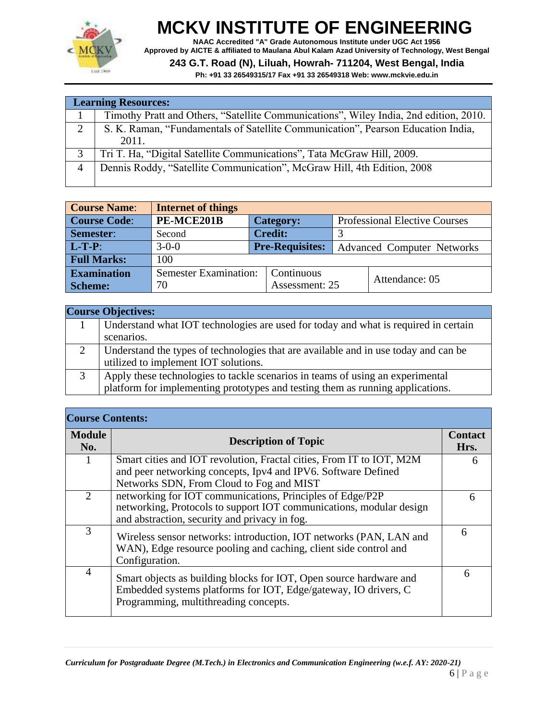

**NAAC Accredited "A" Grade Autonomous Institute under UGC Act 1956 Approved by AICTE & affiliated to Maulana Abul Kalam Azad University of Technology, West Bengal**

**243 G.T. Road (N), Liluah, Howrah- 711204, West Bengal, India**

**Ph: +91 33 26549315/17 Fax +91 33 26549318 Web: [www.mckvie.edu.in](http://www.mckvie.edu.in/)**

|                | <b>Learning Resources:</b>                                                            |  |  |
|----------------|---------------------------------------------------------------------------------------|--|--|
|                | Timothy Pratt and Others, "Satellite Communications", Wiley India, 2nd edition, 2010. |  |  |
| 2              | S. K. Raman, "Fundamentals of Satellite Communication", Pearson Education India,      |  |  |
|                | 2011.                                                                                 |  |  |
|                | Tri T. Ha, "Digital Satellite Communications", Tata McGraw Hill, 2009.                |  |  |
| $\overline{4}$ | Dennis Roddy, "Satellite Communication", McGraw Hill, 4th Edition, 2008               |  |  |
|                |                                                                                       |  |  |

| <b>Course Name:</b>                                | <b>Internet of things</b> |                        |           |  |                                      |  |
|----------------------------------------------------|---------------------------|------------------------|-----------|--|--------------------------------------|--|
| <b>Course Code:</b>                                | PE-MCE201B                |                        | Category: |  | <b>Professional Elective Courses</b> |  |
| Semester:                                          | Second                    | <b>Credit:</b>         |           |  |                                      |  |
| $L-T-P$ :                                          | $3 - 0 - 0$               | <b>Pre-Requisites:</b> |           |  | <b>Advanced Computer Networks</b>    |  |
| <b>Full Marks:</b><br>100                          |                           |                        |           |  |                                      |  |
| <b>Examination</b><br><b>Semester Examination:</b> |                           | Continuous             |           |  | Attendance: 05                       |  |
| <b>Scheme:</b>                                     | 70                        | Assessment: 25         |           |  |                                      |  |

|   | <b>Course Objectives:</b>                                                           |
|---|-------------------------------------------------------------------------------------|
|   | Understand what IOT technologies are used for today and what is required in certain |
|   | scenarios.                                                                          |
| 2 | Understand the types of technologies that are available and in use today and can be |
|   | utilized to implement IOT solutions.                                                |
| 3 | Apply these technologies to tackle scenarios in teams of using an experimental      |
|   | platform for implementing prototypes and testing them as running applications.      |

#### **Course Contents:**

| соцгэс социсниз.      |                                                                                                                                                                                |   |  |  |  |
|-----------------------|--------------------------------------------------------------------------------------------------------------------------------------------------------------------------------|---|--|--|--|
| <b>Module</b><br>No.  | <b>Description of Topic</b>                                                                                                                                                    |   |  |  |  |
|                       | Smart cities and IOT revolution, Fractal cities, From IT to IOT, M2M                                                                                                           | 6 |  |  |  |
|                       | and peer networking concepts, Ipv4 and IPV6. Software Defined                                                                                                                  |   |  |  |  |
|                       | Networks SDN, From Cloud to Fog and MIST                                                                                                                                       |   |  |  |  |
| $\mathcal{D}_{\cdot}$ | networking for IOT communications, Principles of Edge/P2P<br>networking, Protocols to support IOT communications, modular design                                               | 6 |  |  |  |
|                       | and abstraction, security and privacy in fog.                                                                                                                                  |   |  |  |  |
| 3                     | Wireless sensor networks: introduction, IOT networks (PAN, LAN and<br>WAN), Edge resource pooling and caching, client side control and<br>Configuration.                       | 6 |  |  |  |
| $\overline{4}$        | Smart objects as building blocks for IOT, Open source hardware and<br>Embedded systems platforms for IOT, Edge/gateway, IO drivers, C<br>Programming, multithreading concepts. | 6 |  |  |  |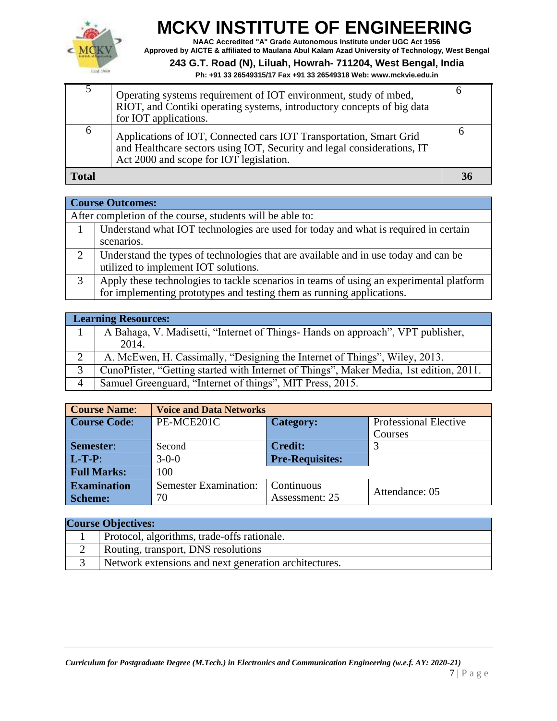

**NAAC Accredited "A" Grade Autonomous Institute under UGC Act 1956 Approved by AICTE & affiliated to Maulana Abul Kalam Azad University of Technology, West Bengal**

#### **243 G.T. Road (N), Liluah, Howrah- 711204, West Bengal, India**

|              | Operating systems requirement of IOT environment, study of mbed,<br>RIOT, and Contiki operating systems, introductory concepts of big data<br>for IOT applications.                      |    |
|--------------|------------------------------------------------------------------------------------------------------------------------------------------------------------------------------------------|----|
| n            | Applications of IOT, Connected cars IOT Transportation, Smart Grid<br>and Healthcare sectors using IOT, Security and legal considerations, IT<br>Act 2000 and scope for IOT legislation. |    |
| <b>Total</b> |                                                                                                                                                                                          | 36 |

|   | <b>Course Outcomes:</b>                                                                                                                                          |  |  |
|---|------------------------------------------------------------------------------------------------------------------------------------------------------------------|--|--|
|   | After completion of the course, students will be able to:                                                                                                        |  |  |
|   | Understand what IOT technologies are used for today and what is required in certain                                                                              |  |  |
|   | scenarios.                                                                                                                                                       |  |  |
|   | Understand the types of technologies that are available and in use today and can be utilized to implement IOT solutions.                                         |  |  |
| 3 | Apply these technologies to tackle scenarios in teams of using an experimental platform<br>for implementing prototypes and testing them as running applications. |  |  |

|                | <b>Learning Resources:</b>                                                              |  |  |  |
|----------------|-----------------------------------------------------------------------------------------|--|--|--|
|                | A Bahaga, V. Madisetti, "Internet of Things- Hands on approach", VPT publisher,         |  |  |  |
|                | 2014.                                                                                   |  |  |  |
| 2              | A. McEwen, H. Cassimally, "Designing the Internet of Things", Wiley, 2013.              |  |  |  |
| 3              | CunoPfister, "Getting started with Internet of Things", Maker Media, 1st edition, 2011. |  |  |  |
| $\overline{4}$ | Samuel Greenguard, "Internet of things", MIT Press, 2015.                               |  |  |  |

| <b>Course Name:</b> | <b>Voice and Data Networks</b> |                        |                              |
|---------------------|--------------------------------|------------------------|------------------------------|
| <b>Course Code:</b> | PE-MCE201C                     | Category:              | <b>Professional Elective</b> |
|                     |                                |                        | Courses                      |
| Semester:           | Second                         | Credit:/               |                              |
| $L-T-P$ :           | $3 - 0 - 0$                    | <b>Pre-Requisites:</b> |                              |
| <b>Full Marks:</b>  | 100                            |                        |                              |
| <b>Examination</b>  | <b>Semester Examination:</b>   | Continuous             | Attendance: 05               |
| <b>Scheme:</b>      | 70                             | Assessment: 25         |                              |

| <b>Course Objectives:</b>                             |
|-------------------------------------------------------|
| Protocol, algorithms, trade-offs rationale.           |
| Routing, transport, DNS resolutions                   |
| Network extensions and next generation architectures. |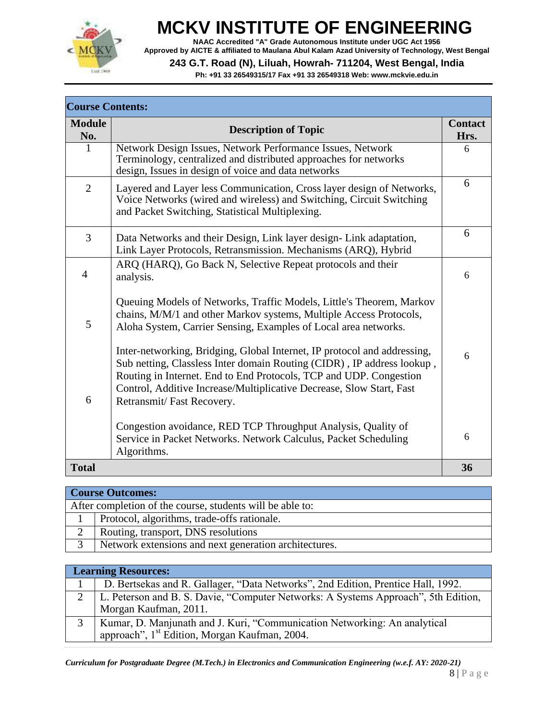

**NAAC Accredited "A" Grade Autonomous Institute under UGC Act 1956 Approved by AICTE & affiliated to Maulana Abul Kalam Azad University of Technology, West Bengal**

#### **243 G.T. Road (N), Liluah, Howrah- 711204, West Bengal, India**

| <b>Course Contents:</b> |                                                                                                                                                                                                                                                                                                                               |                        |  |  |
|-------------------------|-------------------------------------------------------------------------------------------------------------------------------------------------------------------------------------------------------------------------------------------------------------------------------------------------------------------------------|------------------------|--|--|
| <b>Module</b><br>No.    | <b>Description of Topic</b>                                                                                                                                                                                                                                                                                                   | <b>Contact</b><br>Hrs. |  |  |
| 1                       | Network Design Issues, Network Performance Issues, Network<br>Terminology, centralized and distributed approaches for networks<br>design, Issues in design of voice and data networks                                                                                                                                         | 6                      |  |  |
| $\overline{2}$          | Layered and Layer less Communication, Cross layer design of Networks,<br>Voice Networks (wired and wireless) and Switching, Circuit Switching<br>and Packet Switching, Statistical Multiplexing.                                                                                                                              | 6                      |  |  |
| 3                       | Data Networks and their Design, Link layer design- Link adaptation,<br>Link Layer Protocols, Retransmission. Mechanisms (ARQ), Hybrid                                                                                                                                                                                         | 6                      |  |  |
| $\overline{4}$          | ARQ (HARQ), Go Back N, Selective Repeat protocols and their<br>analysis.                                                                                                                                                                                                                                                      | 6                      |  |  |
| 5                       | Queuing Models of Networks, Traffic Models, Little's Theorem, Markov<br>chains, M/M/1 and other Markov systems, Multiple Access Protocols,<br>Aloha System, Carrier Sensing, Examples of Local area networks.                                                                                                                 |                        |  |  |
| 6                       | Inter-networking, Bridging, Global Internet, IP protocol and addressing,<br>Sub netting, Classless Inter domain Routing (CIDR), IP address lookup,<br>Routing in Internet. End to End Protocols, TCP and UDP. Congestion<br>Control, Additive Increase/Multiplicative Decrease, Slow Start, Fast<br>Retransmit/Fast Recovery. | 6                      |  |  |
|                         | Congestion avoidance, RED TCP Throughput Analysis, Quality of<br>Service in Packet Networks. Network Calculus, Packet Scheduling<br>Algorithms.                                                                                                                                                                               | 6                      |  |  |
| <b>Total</b>            |                                                                                                                                                                                                                                                                                                                               | 36                     |  |  |

| <b>Course Outcomes:</b> |                                                           |  |
|-------------------------|-----------------------------------------------------------|--|
|                         | After completion of the course, students will be able to: |  |
|                         | Protocol, algorithms, trade-offs rationale.               |  |
| ◠                       | Routing, transport, DNS resolutions                       |  |
|                         | Network extensions and next generation architectures.     |  |

|              | <b>Learning Resources:</b>                                                         |
|--------------|------------------------------------------------------------------------------------|
|              | D. Bertsekas and R. Gallager, "Data Networks", 2nd Edition, Prentice Hall, 1992.   |
| $\gamma$     | L. Peterson and B. S. Davie, "Computer Networks: A Systems Approach", 5th Edition, |
|              | Morgan Kaufman, 2011.                                                              |
| $\mathbf{R}$ | Kumar, D. Manjunath and J. Kuri, "Communication Networking: An analytical          |
|              | approach", 1 <sup>st</sup> Edition, Morgan Kaufman, 2004.                          |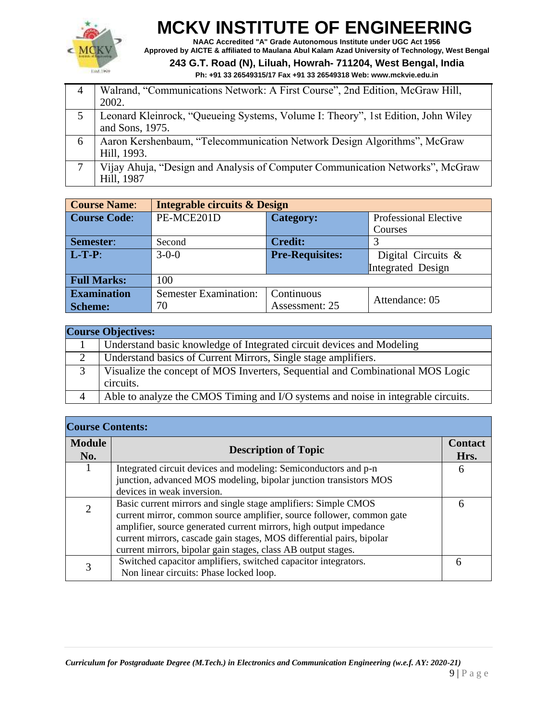

**NAAC Accredited "A" Grade Autonomous Institute under UGC Act 1956 Approved by AICTE & affiliated to Maulana Abul Kalam Azad University of Technology, West Bengal**

**243 G.T. Road (N), Liluah, Howrah- 711204, West Bengal, India**

|   | Walrand, "Communications Network: A First Course", 2nd Edition, McGraw Hill,                        |
|---|-----------------------------------------------------------------------------------------------------|
|   | 2002.                                                                                               |
|   | Leonard Kleinrock, "Queueing Systems, Volume I: Theory", 1st Edition, John Wiley<br>and Sons, 1975. |
| 6 | Aaron Kershenbaum, "Telecommunication Network Design Algorithms", McGraw<br>Hill, 1993.             |
|   | Vijay Ahuja, "Design and Analysis of Computer Communication Networks", McGraw<br>Hill, 1987         |

| <b>Course Name:</b> | <b>Integrable circuits &amp; Design</b> |                        |                              |  |
|---------------------|-----------------------------------------|------------------------|------------------------------|--|
| <b>Course Code:</b> | PE-MCE201D                              | <b>Category:</b>       | <b>Professional Elective</b> |  |
|                     |                                         |                        | Courses                      |  |
| Semester:           | Second                                  | <b>Credit:</b>         |                              |  |
| $L-T-P$ :           | $3 - 0 - 0$                             | <b>Pre-Requisites:</b> | Digital Circuits $\&$        |  |
|                     |                                         |                        | Integrated Design            |  |
| <b>Full Marks:</b>  | 100                                     |                        |                              |  |
| <b>Examination</b>  | <b>Semester Examination:</b>            | Continuous             | Attendance: 05               |  |
| <b>Scheme:</b>      | 70                                      | Assessment: 25         |                              |  |

| <b>Course Objectives:</b> |                                                                                   |  |
|---------------------------|-----------------------------------------------------------------------------------|--|
|                           | Understand basic knowledge of Integrated circuit devices and Modeling             |  |
| 2                         | Understand basics of Current Mirrors, Single stage amplifiers.                    |  |
|                           | Visualize the concept of MOS Inverters, Sequential and Combinational MOS Logic    |  |
|                           | circuits.                                                                         |  |
|                           | Able to analyze the CMOS Timing and I/O systems and noise in integrable circuits. |  |

| <b>Course Contents:</b> |                                                                       |                        |  |
|-------------------------|-----------------------------------------------------------------------|------------------------|--|
| <b>Module</b><br>No.    | <b>Description of Topic</b>                                           | <b>Contact</b><br>Hrs. |  |
| 1                       | Integrated circuit devices and modeling: Semiconductors and p-n       | 6                      |  |
|                         | junction, advanced MOS modeling, bipolar junction transistors MOS     |                        |  |
|                         | devices in weak inversion.                                            |                        |  |
| $\overline{2}$          | Basic current mirrors and single stage amplifiers: Simple CMOS        | 6                      |  |
|                         | current mirror, common source amplifier, source follower, common gate |                        |  |
|                         | amplifier, source generated current mirrors, high output impedance    |                        |  |
|                         | current mirrors, cascade gain stages, MOS differential pairs, bipolar |                        |  |
|                         | current mirrors, bipolar gain stages, class AB output stages.         |                        |  |
| 3                       | Switched capacitor amplifiers, switched capacitor integrators.        |                        |  |
|                         | Non linear circuits: Phase locked loop.                               |                        |  |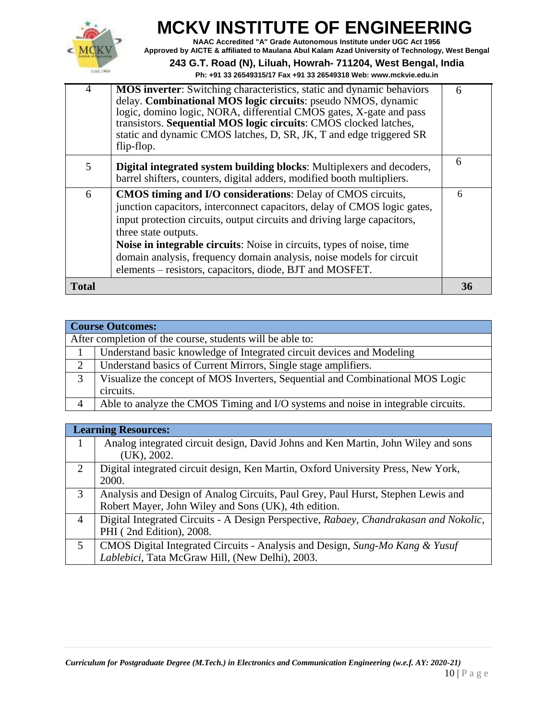

**NAAC Accredited "A" Grade Autonomous Institute under UGC Act 1956 Approved by AICTE & affiliated to Maulana Abul Kalam Azad University of Technology, West Bengal**

**243 G.T. Road (N), Liluah, Howrah- 711204, West Bengal, India**

|  |  |  |  |  |  | Ph: +91 33 26549315/17            Fax +91 33 26549318            Web: www.mckvie.edu.in |
|--|--|--|--|--|--|-----------------------------------------------------------------------------------------|
|--|--|--|--|--|--|-----------------------------------------------------------------------------------------|

| $\overline{4}$ | <b>MOS</b> inverter: Switching characteristics, static and dynamic behaviors<br>delay. Combinational MOS logic circuits: pseudo NMOS, dynamic<br>logic, domino logic, NORA, differential CMOS gates, X-gate and pass<br>transistors. Sequential MOS logic circuits: CMOS clocked latches,<br>static and dynamic CMOS latches, D, SR, JK, T and edge triggered SR<br>flip-flop.                                                                                  | 6  |
|----------------|-----------------------------------------------------------------------------------------------------------------------------------------------------------------------------------------------------------------------------------------------------------------------------------------------------------------------------------------------------------------------------------------------------------------------------------------------------------------|----|
| 5              | Digital integrated system building blocks: Multiplexers and decoders,<br>barrel shifters, counters, digital adders, modified booth multipliers.                                                                                                                                                                                                                                                                                                                 | 6  |
| 6              | <b>CMOS timing and I/O considerations:</b> Delay of CMOS circuits,<br>junction capacitors, interconnect capacitors, delay of CMOS logic gates,<br>input protection circuits, output circuits and driving large capacitors,<br>three state outputs.<br>Noise in integrable circuits: Noise in circuits, types of noise, time<br>domain analysis, frequency domain analysis, noise models for circuit<br>elements – resistors, capacitors, diode, BJT and MOSFET. | 6  |
| <b>Total</b>   |                                                                                                                                                                                                                                                                                                                                                                                                                                                                 | 36 |

|                | <b>Course Outcomes:</b>                                                           |  |  |
|----------------|-----------------------------------------------------------------------------------|--|--|
|                | After completion of the course, students will be able to:                         |  |  |
|                | Understand basic knowledge of Integrated circuit devices and Modeling             |  |  |
| $\overline{2}$ | Understand basics of Current Mirrors, Single stage amplifiers.                    |  |  |
| 3              | Visualize the concept of MOS Inverters, Sequential and Combinational MOS Logic    |  |  |
|                | circuits.                                                                         |  |  |
| 4              | Able to analyze the CMOS Timing and I/O systems and noise in integrable circuits. |  |  |

|   | <b>Learning Resources:</b>                                                                                                               |
|---|------------------------------------------------------------------------------------------------------------------------------------------|
|   | Analog integrated circuit design, David Johns and Ken Martin, John Wiley and sons<br>$(UK)$ , 2002.                                      |
| 2 | Digital integrated circuit design, Ken Martin, Oxford University Press, New York,<br>2000.                                               |
| 3 | Analysis and Design of Analog Circuits, Paul Grey, Paul Hurst, Stephen Lewis and<br>Robert Mayer, John Wiley and Sons (UK), 4th edition. |
| 4 | Digital Integrated Circuits - A Design Perspective, Rabaey, Chandrakasan and Nokolic,<br>PHI (2nd Edition), 2008.                        |
| 5 | CMOS Digital Integrated Circuits - Analysis and Design, Sung-Mo Kang & Yusuf<br>Lablebici, Tata McGraw Hill, (New Delhi), 2003.          |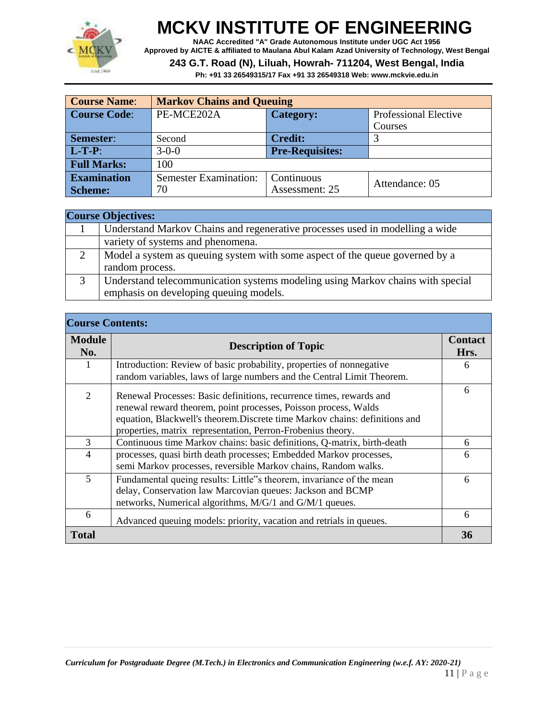

**NAAC Accredited "A" Grade Autonomous Institute under UGC Act 1956 Approved by AICTE & affiliated to Maulana Abul Kalam Azad University of Technology, West Bengal**

#### **243 G.T. Road (N), Liluah, Howrah- 711204, West Bengal, India**

| <b>Course Name:</b> | <b>Markov Chains and Queuing</b> |                        |                              |  |
|---------------------|----------------------------------|------------------------|------------------------------|--|
| <b>Course Code:</b> | PE-MCE202A                       | <b>Category:</b>       | <b>Professional Elective</b> |  |
|                     |                                  |                        | Courses                      |  |
| Semester:           | Second                           | <b>Credit:</b>         |                              |  |
| $L-T-P$ :           | $3 - 0 - 0$                      | <b>Pre-Requisites:</b> |                              |  |
| <b>Full Marks:</b>  | 100                              |                        |                              |  |
| <b>Examination</b>  | <b>Semester Examination:</b>     | Continuous             | Attendance: 05               |  |
| <b>Scheme:</b>      | 70                               | Assessment: 25         |                              |  |

|               | <b>Course Objectives:</b>                                                                                                |
|---------------|--------------------------------------------------------------------------------------------------------------------------|
|               | Understand Markov Chains and regenerative processes used in modelling a wide                                             |
|               | variety of systems and phenomena.                                                                                        |
| $\mathcal{D}$ | Model a system as queuing system with some aspect of the queue governed by a<br>random process.                          |
|               | Understand telecommunication systems modeling using Markov chains with special<br>emphasis on developing queuing models. |

|                      | <b>Course Contents:</b>                                                                                                                                                                                                                                                              |                        |  |
|----------------------|--------------------------------------------------------------------------------------------------------------------------------------------------------------------------------------------------------------------------------------------------------------------------------------|------------------------|--|
| <b>Module</b><br>No. | <b>Description of Topic</b>                                                                                                                                                                                                                                                          | <b>Contact</b><br>Hrs. |  |
| 1                    | Introduction: Review of basic probability, properties of nonnegative<br>random variables, laws of large numbers and the Central Limit Theorem.                                                                                                                                       | 6                      |  |
| $\overline{2}$       | Renewal Processes: Basic definitions, recurrence times, rewards and<br>renewal reward theorem, point processes, Poisson process, Walds<br>equation, Blackwell's theorem. Discrete time Markov chains: definitions and<br>properties, matrix representation, Perron-Frobenius theory. | 6                      |  |
| 3                    | Continuous time Markov chains: basic definitions, Q-matrix, birth-death                                                                                                                                                                                                              | 6                      |  |
| $\overline{4}$       | processes, quasi birth death processes; Embedded Markov processes,<br>semi Markov processes, reversible Markov chains, Random walks.                                                                                                                                                 | 6                      |  |
| 5                    | Fundamental queing results: Little"s theorem, invariance of the mean<br>delay, Conservation law Marcovian queues: Jackson and BCMP<br>networks, Numerical algorithms, M/G/1 and G/M/1 queues.                                                                                        | 6                      |  |
| 6                    | Advanced queuing models: priority, vacation and retrials in queues.                                                                                                                                                                                                                  | 6                      |  |
| <b>Total</b>         |                                                                                                                                                                                                                                                                                      | 36                     |  |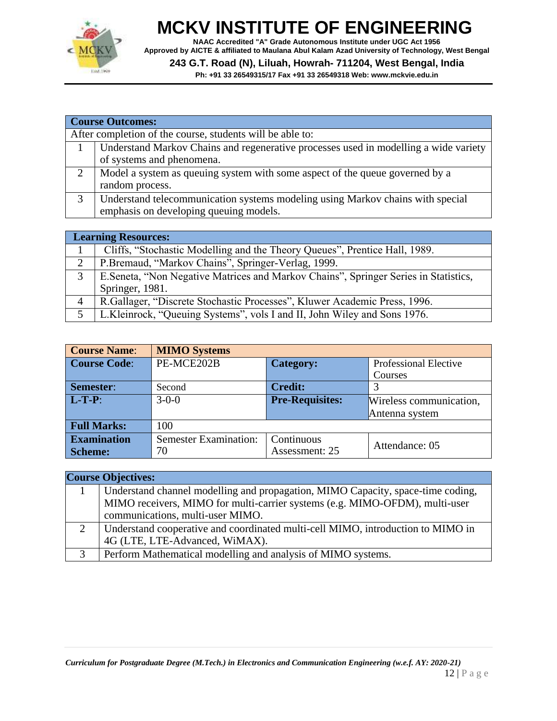

**NAAC Accredited "A" Grade Autonomous Institute under UGC Act 1956 Approved by AICTE & affiliated to Maulana Abul Kalam Azad University of Technology, West Bengal**

**243 G.T. Road (N), Liluah, Howrah- 711204, West Bengal, India**

**Ph: +91 33 26549315/17 Fax +91 33 26549318 Web: [www.mckvie.edu.in](http://www.mckvie.edu.in/)**

|   | <b>Course Outcomes:</b>                                                              |  |  |
|---|--------------------------------------------------------------------------------------|--|--|
|   | After completion of the course, students will be able to:                            |  |  |
|   | Understand Markov Chains and regenerative processes used in modelling a wide variety |  |  |
|   | of systems and phenomena.                                                            |  |  |
|   | Model a system as queuing system with some aspect of the queue governed by a         |  |  |
|   | random process.                                                                      |  |  |
| 3 | Understand telecommunication systems modeling using Markov chains with special       |  |  |
|   | emphasis on developing queuing models.                                               |  |  |

|   | <b>Learning Resources:</b>                                                           |  |
|---|--------------------------------------------------------------------------------------|--|
|   | Cliffs, "Stochastic Modelling and the Theory Queues", Prentice Hall, 1989.           |  |
| 2 | P.Bremaud, "Markov Chains", Springer-Verlag, 1999.                                   |  |
| 3 | E. Seneta, "Non Negative Matrices and Markov Chains", Springer Series in Statistics, |  |
|   | Springer, 1981.                                                                      |  |
| 4 | R. Gallager, "Discrete Stochastic Processes", Kluwer Academic Press, 1996.           |  |
|   | L.Kleinrock, "Queuing Systems", vols I and II, John Wiley and Sons 1976.             |  |

| <b>Course Name:</b> | <b>MIMO Systems</b>          |                        |                              |  |
|---------------------|------------------------------|------------------------|------------------------------|--|
| <b>Course Code:</b> | PE-MCE202B                   | <b>Category:</b>       | <b>Professional Elective</b> |  |
|                     |                              |                        | Courses                      |  |
| Semester:           | Second                       | <b>Credit:</b>         |                              |  |
| $L-T-P$ :           | $3 - 0 - 0$                  | <b>Pre-Requisites:</b> | Wireless communication,      |  |
|                     |                              |                        | Antenna system               |  |
| <b>Full Marks:</b>  | 100                          |                        |                              |  |
| <b>Examination</b>  | <b>Semester Examination:</b> | Continuous             | Attendance: 05               |  |
| <b>Scheme:</b>      | 70                           | Assessment: 25         |                              |  |

#### **Course Objectives:** 1 Understand channel modelling and propagation, MIMO Capacity, space-time coding, MIMO receivers, MIMO for multi-carrier systems (e.g. MIMO-OFDM), multi-user communications, multi-user MIMO.

2 Understand cooperative and coordinated multi-cell MIMO, introduction to MIMO in 4G (LTE, LTE-Advanced, WiMAX). 3 Perform Mathematical modelling and analysis of MIMO systems.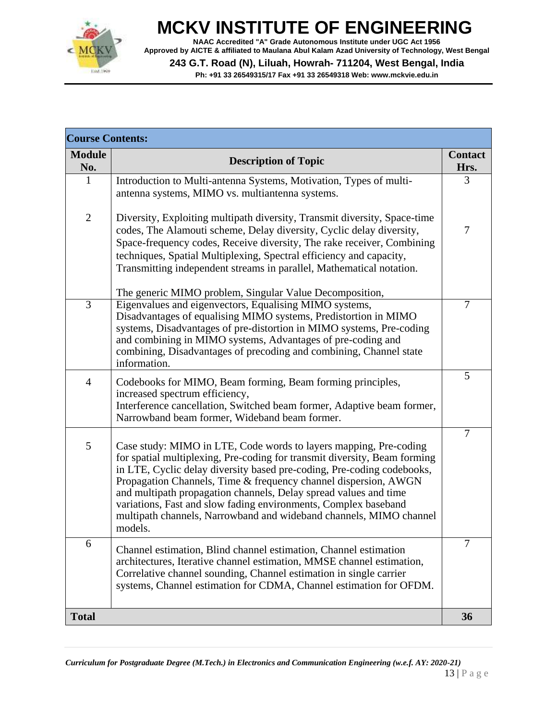

**NAAC Accredited "A" Grade Autonomous Institute under UGC Act 1956 Approved by AICTE & affiliated to Maulana Abul Kalam Azad University of Technology, West Bengal**

**243 G.T. Road (N), Liluah, Howrah- 711204, West Bengal, India**

| <b>Course Contents:</b> |                                                                                                                                                                                                                                                                                                                                                                                                                                                                                                                     |                        |
|-------------------------|---------------------------------------------------------------------------------------------------------------------------------------------------------------------------------------------------------------------------------------------------------------------------------------------------------------------------------------------------------------------------------------------------------------------------------------------------------------------------------------------------------------------|------------------------|
| <b>Module</b><br>No.    | <b>Description of Topic</b>                                                                                                                                                                                                                                                                                                                                                                                                                                                                                         | <b>Contact</b><br>Hrs. |
| $\mathbf{1}$            | Introduction to Multi-antenna Systems, Motivation, Types of multi-<br>antenna systems, MIMO vs. multiantenna systems.                                                                                                                                                                                                                                                                                                                                                                                               | 3                      |
| $\overline{2}$          | Diversity, Exploiting multipath diversity, Transmit diversity, Space-time<br>codes, The Alamouti scheme, Delay diversity, Cyclic delay diversity,<br>Space-frequency codes, Receive diversity, The rake receiver, Combining<br>techniques, Spatial Multiplexing, Spectral efficiency and capacity,<br>Transmitting independent streams in parallel, Mathematical notation.                                                                                                                                          | $\overline{7}$         |
| $\overline{3}$          | The generic MIMO problem, Singular Value Decomposition,<br>Eigenvalues and eigenvectors, Equalising MIMO systems,<br>Disadvantages of equalising MIMO systems, Predistortion in MIMO<br>systems, Disadvantages of pre-distortion in MIMO systems, Pre-coding<br>and combining in MIMO systems, Advantages of pre-coding and<br>combining, Disadvantages of precoding and combining, Channel state<br>information.                                                                                                   | $\overline{7}$         |
| $\overline{4}$          | Codebooks for MIMO, Beam forming, Beam forming principles,<br>increased spectrum efficiency,<br>Interference cancellation, Switched beam former, Adaptive beam former,<br>Narrowband beam former, Wideband beam former.                                                                                                                                                                                                                                                                                             | 5                      |
| 5                       | Case study: MIMO in LTE, Code words to layers mapping, Pre-coding<br>for spatial multiplexing, Pre-coding for transmit diversity, Beam forming<br>in LTE, Cyclic delay diversity based pre-coding, Pre-coding codebooks,<br>Propagation Channels, Time & frequency channel dispersion, AWGN<br>and multipath propagation channels, Delay spread values and time<br>variations, Fast and slow fading environments, Complex baseband<br>multipath channels, Narrowband and wideband channels, MIMO channel<br>models. | $\overline{7}$         |
| 6                       | Channel estimation, Blind channel estimation, Channel estimation<br>architectures, Iterative channel estimation, MMSE channel estimation,<br>Correlative channel sounding, Channel estimation in single carrier<br>systems, Channel estimation for CDMA, Channel estimation for OFDM.                                                                                                                                                                                                                               | $\overline{7}$         |
| <b>Total</b>            |                                                                                                                                                                                                                                                                                                                                                                                                                                                                                                                     | 36                     |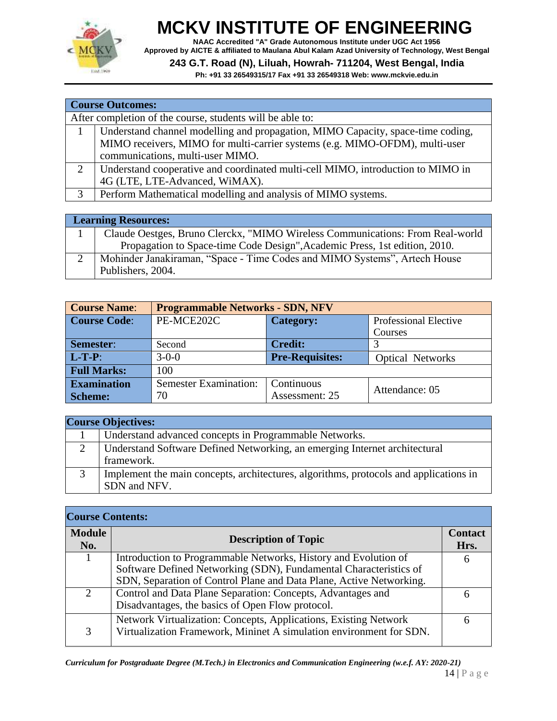

**NAAC Accredited "A" Grade Autonomous Institute under UGC Act 1956 Approved by AICTE & affiliated to Maulana Abul Kalam Azad University of Technology, West Bengal**

#### **243 G.T. Road (N), Liluah, Howrah- 711204, West Bengal, India**

|   | <b>Course Outcomes:</b>                                                         |  |  |
|---|---------------------------------------------------------------------------------|--|--|
|   | After completion of the course, students will be able to:                       |  |  |
|   | Understand channel modelling and propagation, MIMO Capacity, space-time coding, |  |  |
|   | MIMO receivers, MIMO for multi-carrier systems (e.g. MIMO-OFDM), multi-user     |  |  |
|   | communications, multi-user MIMO.                                                |  |  |
|   | Understand cooperative and coordinated multi-cell MIMO, introduction to MIMO in |  |  |
|   | 4G (LTE, LTE-Advanced, WiMAX).                                                  |  |  |
| 3 | Perform Mathematical modelling and analysis of MIMO systems.                    |  |  |
|   |                                                                                 |  |  |

| <b>Learning Resources:</b>                                                    |  |
|-------------------------------------------------------------------------------|--|
| Claude Oestges, Bruno Clerckx, "MIMO Wireless Communications: From Real-world |  |
| Propagation to Space-time Code Design", Academic Press, 1st edition, 2010.    |  |
| Mohinder Janakiraman, "Space - Time Codes and MIMO Systems", Artech House     |  |
| Publishers, 2004.                                                             |  |

| <b>Course Name:</b> | <b>Programmable Networks - SDN, NFV</b>    |                        |                              |  |  |
|---------------------|--------------------------------------------|------------------------|------------------------------|--|--|
| <b>Course Code:</b> | PE-MCE202C                                 | <b>Category:</b>       | <b>Professional Elective</b> |  |  |
|                     |                                            |                        | Courses                      |  |  |
| Semester:           | Second                                     | <b>Credit:</b>         |                              |  |  |
| $L-T-P$ :           | $3 - 0 - 0$                                | <b>Pre-Requisites:</b> | <b>Optical Networks</b>      |  |  |
| <b>Full Marks:</b>  | 100                                        |                        |                              |  |  |
| <b>Examination</b>  | <b>Semester Examination:</b><br>Continuous |                        | Attendance: 05               |  |  |
| <b>Scheme:</b>      | 70                                         | Assessment: 25         |                              |  |  |

| <b>Course Objectives:</b>                                                                             |  |  |
|-------------------------------------------------------------------------------------------------------|--|--|
| Understand advanced concepts in Programmable Networks.                                                |  |  |
| Understand Software Defined Networking, an emerging Internet architectural<br>framework.              |  |  |
| Implement the main concepts, architectures, algorithms, protocols and applications in<br>SDN and NFV. |  |  |

| <b>Course Contents:</b> |                                                                                                                                                                                                             |                        |
|-------------------------|-------------------------------------------------------------------------------------------------------------------------------------------------------------------------------------------------------------|------------------------|
| <b>Module</b><br>No.    | <b>Description of Topic</b>                                                                                                                                                                                 | <b>Contact</b><br>Hrs. |
|                         | Introduction to Programmable Networks, History and Evolution of<br>Software Defined Networking (SDN), Fundamental Characteristics of<br>SDN, Separation of Control Plane and Data Plane, Active Networking. | 6                      |
| 2                       | Control and Data Plane Separation: Concepts, Advantages and<br>Disadvantages, the basics of Open Flow protocol.                                                                                             | h                      |
| 3                       | Network Virtualization: Concepts, Applications, Existing Network<br>Virtualization Framework, Mininet A simulation environment for SDN.                                                                     | h                      |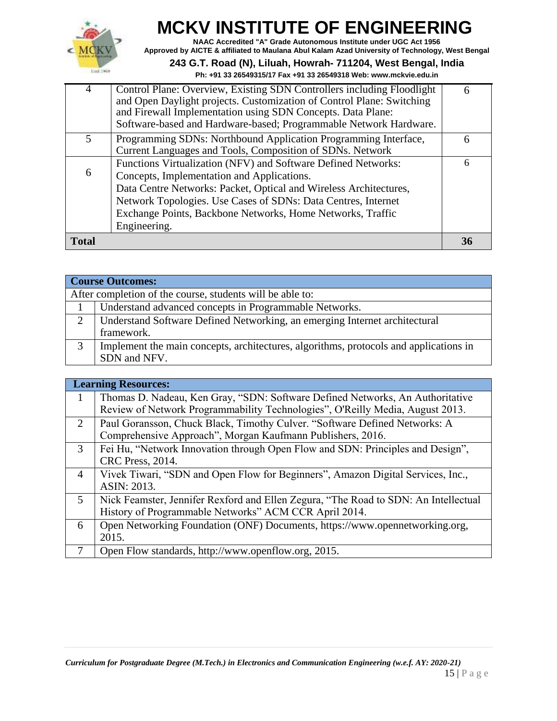

**NAAC Accredited "A" Grade Autonomous Institute under UGC Act 1956 Approved by AICTE & affiliated to Maulana Abul Kalam Azad University of Technology, West Bengal**

**243 G.T. Road (N), Liluah, Howrah- 711204, West Bengal, India**

| <b>Total</b>  |                                                                                                                              | 36 |
|---------------|------------------------------------------------------------------------------------------------------------------------------|----|
|               | Engineering.                                                                                                                 |    |
|               | Exchange Points, Backbone Networks, Home Networks, Traffic                                                                   |    |
|               | Network Topologies. Use Cases of SDNs: Data Centres, Internet                                                                |    |
|               | Data Centre Networks: Packet, Optical and Wireless Architectures,                                                            |    |
| 6             | Concepts, Implementation and Applications.                                                                                   |    |
|               | Functions Virtualization (NFV) and Software Defined Networks:                                                                | 6  |
| $\mathcal{F}$ | Programming SDNs: Northbound Application Programming Interface,<br>Current Languages and Tools, Composition of SDNs. Network | 6  |
|               | Software-based and Hardware-based; Programmable Network Hardware.                                                            |    |
|               | and Firewall Implementation using SDN Concepts. Data Plane:                                                                  |    |
|               | and Open Daylight projects. Customization of Control Plane: Switching                                                        |    |
| 4             | Control Plane: Overview, Existing SDN Controllers including Floodlight                                                       | 6  |

|               | <b>Course Outcomes:</b>                                                               |  |  |
|---------------|---------------------------------------------------------------------------------------|--|--|
|               | After completion of the course, students will be able to:                             |  |  |
|               | Understand advanced concepts in Programmable Networks.                                |  |  |
| $\mathcal{D}$ | Understand Software Defined Networking, an emerging Internet architectural            |  |  |
|               | framework.                                                                            |  |  |
| 3             | Implement the main concepts, architectures, algorithms, protocols and applications in |  |  |
|               | SDN and NFV.                                                                          |  |  |

|                | <b>Learning Resources:</b>                                                          |
|----------------|-------------------------------------------------------------------------------------|
| 1              | Thomas D. Nadeau, Ken Gray, "SDN: Software Defined Networks, An Authoritative       |
|                | Review of Network Programmability Technologies", O'Reilly Media, August 2013.       |
| $\overline{2}$ | Paul Goransson, Chuck Black, Timothy Culver. "Software Defined Networks: A          |
|                | Comprehensive Approach", Morgan Kaufmann Publishers, 2016.                          |
| 3              | Fei Hu, "Network Innovation through Open Flow and SDN: Principles and Design",      |
|                | <b>CRC</b> Press, 2014.                                                             |
| 4              | Vivek Tiwari, "SDN and Open Flow for Beginners", Amazon Digital Services, Inc.,     |
|                | ASIN: 2013.                                                                         |
| 5              | Nick Feamster, Jennifer Rexford and Ellen Zegura, "The Road to SDN: An Intellectual |
|                | History of Programmable Networks" ACM CCR April 2014.                               |
| 6              | Open Networking Foundation (ONF) Documents, https://www.opennetworking.org,         |
|                | 2015.                                                                               |
| $\tau$         | Open Flow standards, http://www.openflow.org, 2015.                                 |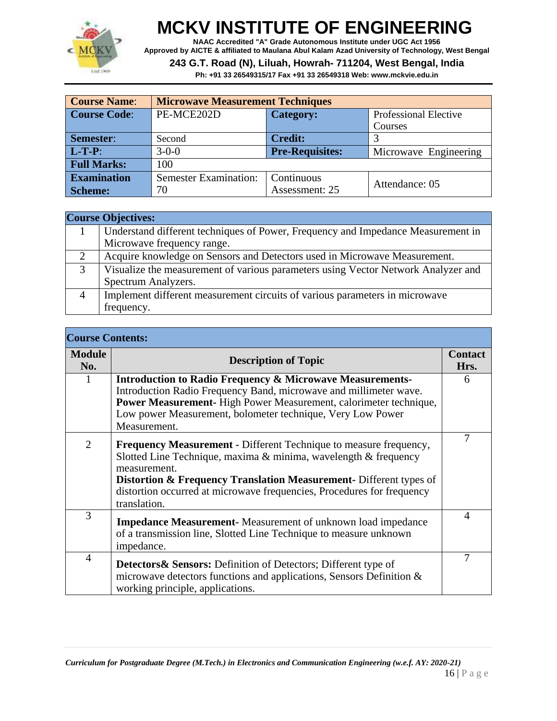

**NAAC Accredited "A" Grade Autonomous Institute under UGC Act 1956 Approved by AICTE & affiliated to Maulana Abul Kalam Azad University of Technology, West Bengal**

**243 G.T. Road (N), Liluah, Howrah- 711204, West Bengal, India**

| <b>Course Name:</b> | <b>Microwave Measurement Techniques</b> |                        |                              |  |
|---------------------|-----------------------------------------|------------------------|------------------------------|--|
| <b>Course Code:</b> | PE-MCE202D                              | <b>Category:</b>       | <b>Professional Elective</b> |  |
|                     |                                         |                        | Courses                      |  |
| <b>Semester:</b>    | Second                                  | <b>Credit:</b>         |                              |  |
| $L-T-P$ :           | $3 - 0 - 0$                             | <b>Pre-Requisites:</b> | Microwave Engineering        |  |
| <b>Full Marks:</b>  | 100                                     |                        |                              |  |
| <b>Examination</b>  | <b>Semester Examination:</b>            | Continuous             | Attendance: 05               |  |
| <b>Scheme:</b>      | 70                                      | Assessment: 25         |                              |  |

|                | <b>Course Objectives:</b>                                                         |
|----------------|-----------------------------------------------------------------------------------|
|                | Understand different techniques of Power, Frequency and Impedance Measurement in  |
|                | Microwave frequency range.                                                        |
| 2              | Acquire knowledge on Sensors and Detectors used in Microwave Measurement.         |
| 3              | Visualize the measurement of various parameters using Vector Network Analyzer and |
|                | Spectrum Analyzers.                                                               |
| $\overline{4}$ | Implement different measurement circuits of various parameters in microwave       |
|                | frequency.                                                                        |

| <b>Course Contents:</b> |                                                                                                                                                                                                                                                                                                                                        |                        |
|-------------------------|----------------------------------------------------------------------------------------------------------------------------------------------------------------------------------------------------------------------------------------------------------------------------------------------------------------------------------------|------------------------|
| <b>Module</b><br>No.    | <b>Description of Topic</b>                                                                                                                                                                                                                                                                                                            | <b>Contact</b><br>Hrs. |
| 1                       | <b>Introduction to Radio Frequency &amp; Microwave Measurements-</b><br>Introduction Radio Frequency Band, microwave and millimeter wave.<br>Power Measurement-High Power Measurement, calorimeter technique,<br>Low power Measurement, bolometer technique, Very Low Power<br>Measurement.                                            | 6                      |
| 2                       | <b>Frequency Measurement - Different Technique to measure frequency,</b><br>Slotted Line Technique, maxima & minima, wavelength & frequency<br>measurement.<br><b>Distortion &amp; Frequency Translation Measurement-</b> Different types of<br>distortion occurred at microwave frequencies, Procedures for frequency<br>translation. | 7                      |
| 3                       | <b>Impedance Measurement-</b> Measurement of unknown load impedance<br>of a transmission line, Slotted Line Technique to measure unknown<br>impedance.                                                                                                                                                                                 | $\overline{4}$         |
| 4                       | <b>Detectors &amp; Sensors:</b> Definition of Detectors; Different type of<br>microwave detectors functions and applications, Sensors Definition $\&$<br>working principle, applications.                                                                                                                                              | 7                      |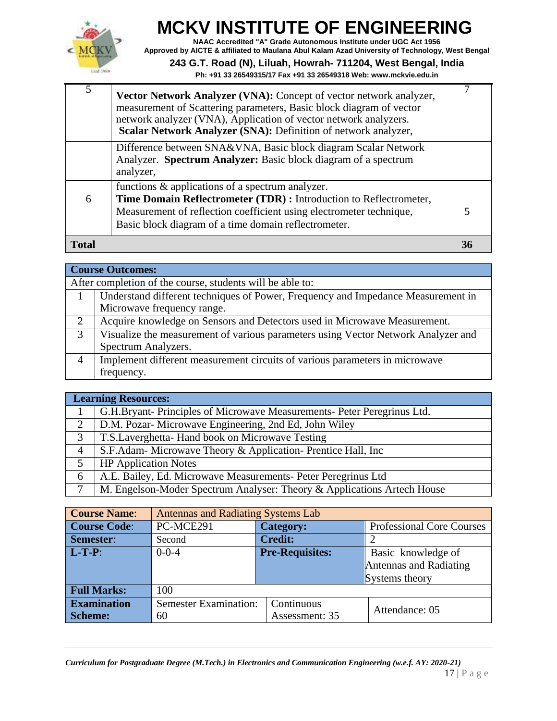

**NAAC Accredited "A" Grade Autonomous Institute under UGC Act 1956 Approved by AICTE & affiliated to Maulana Abul Kalam Azad University of Technology, West Bengal**

#### **243 G.T. Road (N), Liluah, Howrah- 711204, West Bengal, India**

| 5            | Vector Network Analyzer (VNA): Concept of vector network analyzer,<br>measurement of Scattering parameters, Basic block diagram of vector<br>network analyzer (VNA), Application of vector network analyzers.<br>Scalar Network Analyzer (SNA): Definition of network analyzer, |    |
|--------------|---------------------------------------------------------------------------------------------------------------------------------------------------------------------------------------------------------------------------------------------------------------------------------|----|
|              | Difference between SNA&VNA, Basic block diagram Scalar Network<br>Analyzer. Spectrum Analyzer: Basic block diagram of a spectrum<br>analyzer,                                                                                                                                   |    |
| 6            | functions & applications of a spectrum analyzer.<br>Time Domain Reflectrometer (TDR) : Introduction to Reflectrometer,<br>Measurement of reflection coefficient using electrometer technique,<br>Basic block diagram of a time domain reflectrometer.                           | 5  |
| <b>Total</b> |                                                                                                                                                                                                                                                                                 | 36 |

|                | <b>Course Outcomes:</b>                                                           |
|----------------|-----------------------------------------------------------------------------------|
|                | After completion of the course, students will be able to:                         |
|                | Understand different techniques of Power, Frequency and Impedance Measurement in  |
|                | Microwave frequency range.                                                        |
| 2              | Acquire knowledge on Sensors and Detectors used in Microwave Measurement.         |
| 3              | Visualize the measurement of various parameters using Vector Network Analyzer and |
|                | Spectrum Analyzers.                                                               |
| $\overline{4}$ | Implement different measurement circuits of various parameters in microwave       |
|                | frequency.                                                                        |

|                | <b>Learning Resources:</b>                                              |  |
|----------------|-------------------------------------------------------------------------|--|
|                | G.H.Bryant-Principles of Microwave Measurements-Peter Peregrinus Ltd.   |  |
| 2              | D.M. Pozar- Microwave Engineering, 2nd Ed, John Wiley                   |  |
| 3              | T.S.Laverghetta-Hand book on Microwave Testing                          |  |
| $\overline{4}$ | S.F.Adam- Microwave Theory & Application- Prentice Hall, Inc.           |  |
| 5              | <b>HP</b> Application Notes                                             |  |
| 6              | A.E. Bailey, Ed. Microwave Measurements- Peter Peregrinus Ltd           |  |
| $\mathcal{I}$  | M. Engelson-Moder Spectrum Analyser: Theory & Applications Artech House |  |

| <b>Course Name:</b> | <b>Antennas and Radiating Systems Lab</b> |                        |                                  |  |
|---------------------|-------------------------------------------|------------------------|----------------------------------|--|
| <b>Course Code:</b> | PC-MCE291                                 | <b>Category:</b>       | <b>Professional Core Courses</b> |  |
| Semester:           | Second                                    | <b>Credit:</b>         |                                  |  |
| $L-T-P$ :           | $0 - 0 - 4$                               | <b>Pre-Requisites:</b> | Basic knowledge of               |  |
|                     |                                           |                        | Antennas and Radiating           |  |
|                     |                                           |                        | Systems theory                   |  |
| <b>Full Marks:</b>  | 100                                       |                        |                                  |  |
| <b>Examination</b>  | <b>Semester Examination:</b>              | Continuous             | Attendance: 05                   |  |
| <b>Scheme:</b>      | 60                                        | Assessment: 35         |                                  |  |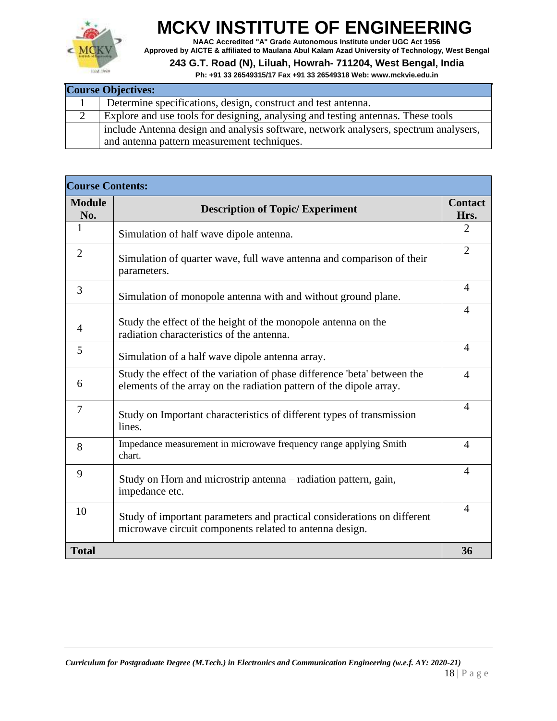

**NAAC Accredited "A" Grade Autonomous Institute under UGC Act 1956 Approved by AICTE & affiliated to Maulana Abul Kalam Azad University of Technology, West Bengal**

#### **243 G.T. Road (N), Liluah, Howrah- 711204, West Bengal, India**

| <b>Course Objectives:</b>                                                                                                           |  |  |
|-------------------------------------------------------------------------------------------------------------------------------------|--|--|
| Determine specifications, design, construct and test antenna.                                                                       |  |  |
| Explore and use tools for designing, analysing and testing antennas. These tools                                                    |  |  |
| include Antenna design and analysis software, network analysers, spectrum analysers,<br>and antenna pattern measurement techniques. |  |  |

| <b>Course Contents:</b> |                                                                                                                                                 |                        |
|-------------------------|-------------------------------------------------------------------------------------------------------------------------------------------------|------------------------|
| <b>Module</b><br>No.    | <b>Description of Topic/ Experiment</b>                                                                                                         | <b>Contact</b><br>Hrs. |
| $\mathbf{1}$            | Simulation of half wave dipole antenna.                                                                                                         | 2                      |
| $\overline{2}$          | Simulation of quarter wave, full wave antenna and comparison of their<br>parameters.                                                            | $\overline{2}$         |
| 3                       | Simulation of monopole antenna with and without ground plane.                                                                                   | 4                      |
| 4                       | Study the effect of the height of the monopole antenna on the<br>radiation characteristics of the antenna.                                      | 4                      |
| 5                       | Simulation of a half wave dipole antenna array.                                                                                                 | $\overline{A}$         |
| 6                       | Study the effect of the variation of phase difference 'beta' between the<br>elements of the array on the radiation pattern of the dipole array. | $\overline{4}$         |
| 7                       | Study on Important characteristics of different types of transmission<br>lines.                                                                 | $\overline{4}$         |
| 8                       | Impedance measurement in microwave frequency range applying Smith<br>chart.                                                                     | $\overline{4}$         |
| 9                       | Study on Horn and microstrip antenna – radiation pattern, gain,<br>impedance etc.                                                               | $\overline{4}$         |
| 10                      | Study of important parameters and practical considerations on different<br>microwave circuit components related to antenna design.              | $\overline{4}$         |
| <b>Total</b>            |                                                                                                                                                 | 36                     |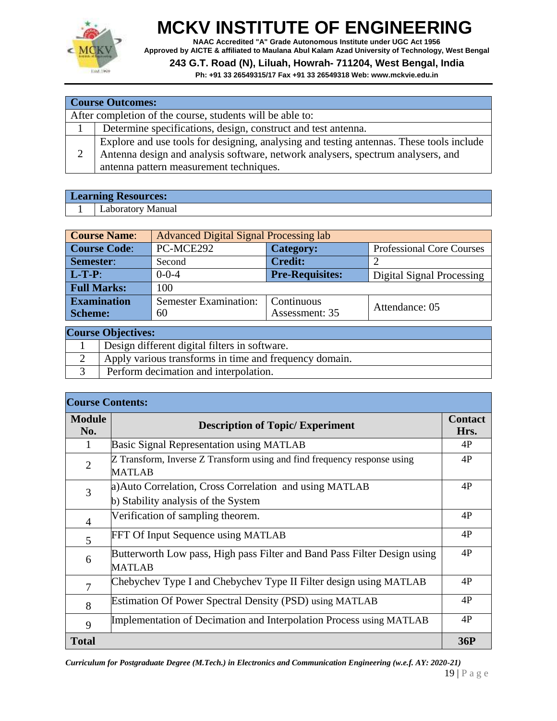

**NAAC Accredited "A" Grade Autonomous Institute under UGC Act 1956 Approved by AICTE & affiliated to Maulana Abul Kalam Azad University of Technology, West Bengal**

#### **243 G.T. Road (N), Liluah, Howrah- 711204, West Bengal, India**

**Ph: +91 33 26549315/17 Fax +91 33 26549318 Web: [www.mckvie.edu.in](http://www.mckvie.edu.in/)**

|   | <b>Course Outcomes:</b>                                                                  |  |  |
|---|------------------------------------------------------------------------------------------|--|--|
|   | After completion of the course, students will be able to:                                |  |  |
|   | Determine specifications, design, construct and test antenna.                            |  |  |
|   | Explore and use tools for designing, analysing and testing antennas. These tools include |  |  |
| 2 | Antenna design and analysis software, network analysers, spectrum analysers, and         |  |  |
|   | antenna pattern measurement techniques.                                                  |  |  |

| Learning Resources:        |  |
|----------------------------|--|
| torv<br>Manua.<br>∟aborat∩ |  |

| <b>Course Name:</b> | <b>Advanced Digital Signal Processing lab</b> |                        |                                  |  |  |
|---------------------|-----------------------------------------------|------------------------|----------------------------------|--|--|
| <b>Course Code:</b> | PC-MCE292                                     | <b>Category:</b>       | <b>Professional Core Courses</b> |  |  |
| Semester:           | Second                                        | <b>Credit:</b>         |                                  |  |  |
| $L-T-P$ :           | $0 - 0 - 4$                                   | <b>Pre-Requisites:</b> | <b>Digital Signal Processing</b> |  |  |
| <b>Full Marks:</b>  | 100                                           |                        |                                  |  |  |
| <b>Examination</b>  | <b>Semester Examination:</b>                  | Continuous             | Attendance: 05                   |  |  |
| <b>Scheme:</b>      | 60                                            | Assessment: 35         |                                  |  |  |
| $\Omega$            |                                               |                        |                                  |  |  |

| <b>Course Objectives:</b> |                                                        |  |
|---------------------------|--------------------------------------------------------|--|
|                           | Design different digital filters in software.          |  |
|                           | Apply various transforms in time and frequency domain. |  |
|                           | Perform decimation and interpolation.                  |  |

| <b>Course Contents:</b> |                                                                                           |            |  |
|-------------------------|-------------------------------------------------------------------------------------------|------------|--|
| <b>Module</b><br>No.    | <b>Description of Topic/ Experiment</b>                                                   |            |  |
| 1                       | <b>Basic Signal Representation using MATLAB</b>                                           | 4P         |  |
| $\overline{2}$          | Z Transform, Inverse Z Transform using and find frequency response using<br><b>MATLAB</b> | 4P         |  |
| 3                       | a) Auto Correlation, Cross Correlation and using MATLAB                                   | 4P         |  |
|                         | b) Stability analysis of the System                                                       |            |  |
| $\overline{4}$          | Verification of sampling theorem.                                                         | 4P         |  |
| 5                       | FFT Of Input Sequence using MATLAB                                                        | 4P         |  |
| 6                       | Butterworth Low pass, High pass Filter and Band Pass Filter Design using<br><b>MATLAB</b> | 4P         |  |
| 7                       | Chebychev Type I and Chebychev Type II Filter design using MATLAB                         | 4P         |  |
| 8                       | Estimation Of Power Spectral Density (PSD) using MATLAB                                   | 4P         |  |
| 9                       | Implementation of Decimation and Interpolation Process using MATLAB                       | 4P         |  |
| <b>Total</b>            |                                                                                           | <b>36P</b> |  |

*Curriculum for Postgraduate Degree (M.Tech.) in Electronics and Communication Engineering (w.e.f. AY: 2020-21)*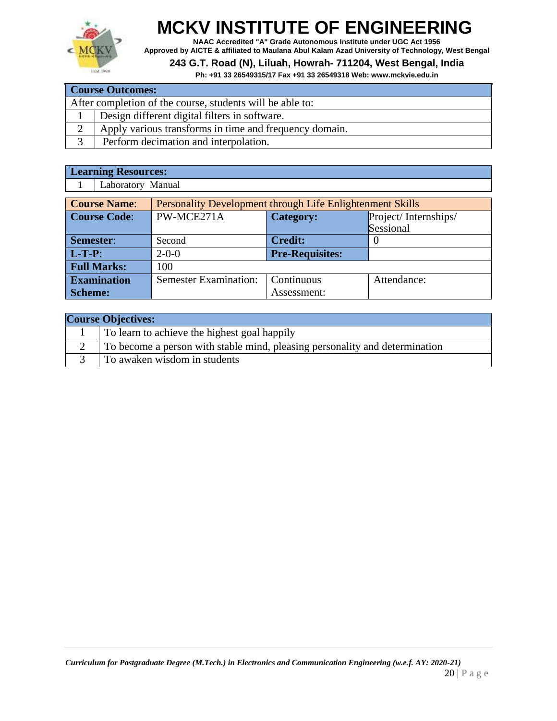

**NAAC Accredited "A" Grade Autonomous Institute under UGC Act 1956 Approved by AICTE & affiliated to Maulana Abul Kalam Azad University of Technology, West Bengal**

#### **243 G.T. Road (N), Liluah, Howrah- 711204, West Bengal, India**

**Ph: +91 33 26549315/17 Fax +91 33 26549318 Web: [www.mckvie.edu.in](http://www.mckvie.edu.in/)**

| <b>Course Outcomes:</b>                                   |                                                        |  |
|-----------------------------------------------------------|--------------------------------------------------------|--|
| After completion of the course, students will be able to: |                                                        |  |
|                                                           | Design different digital filters in software.          |  |
|                                                           | Apply various transforms in time and frequency domain. |  |
|                                                           | Perform decimation and interpolation.                  |  |

#### **Learning Resources:**

1 Laboratory Manual

| <b>Course Name:</b> | Personality Development through Life Enlightenment Skills |                                          |           |  |
|---------------------|-----------------------------------------------------------|------------------------------------------|-----------|--|
| <b>Course Code:</b> | PW-MCE271A                                                | Project/Internships/<br><b>Category:</b> |           |  |
|                     |                                                           |                                          | Sessional |  |
| Semester:           | Second                                                    | <b>Credit:</b>                           |           |  |
| $L-T-P$ :           | $2 - 0 - 0$                                               | <b>Pre-Requisites:</b>                   |           |  |
| <b>Full Marks:</b>  | 100                                                       |                                          |           |  |
| <b>Examination</b>  | <b>Semester Examination:</b><br>Continuous<br>Attendance: |                                          |           |  |
| <b>Scheme:</b>      |                                                           | Assessment:                              |           |  |

| <b>Course Objectives:</b> |                                                                             |  |
|---------------------------|-----------------------------------------------------------------------------|--|
|                           | To learn to achieve the highest goal happily                                |  |
|                           | To become a person with stable mind, pleasing personality and determination |  |
|                           | To awaken wisdom in students                                                |  |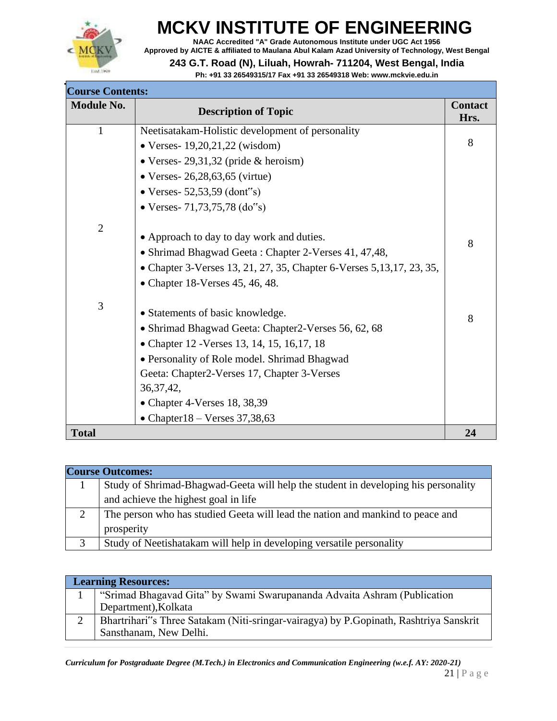

**NAAC Accredited "A" Grade Autonomous Institute under UGC Act 1956 Approved by AICTE & affiliated to Maulana Abul Kalam Azad University of Technology, West Bengal**

#### **243 G.T. Road (N), Liluah, Howrah- 711204, West Bengal, India**

| <b>Course Contents:</b> |                                                                        |                        |
|-------------------------|------------------------------------------------------------------------|------------------------|
| <b>Module No.</b>       | <b>Description of Topic</b>                                            | <b>Contact</b><br>Hrs. |
| 1                       | Neetisatakam-Holistic development of personality                       |                        |
|                         | • Verses- $19,20,21,22$ (wisdom)                                       | 8                      |
|                         | • Verses- $29,31,32$ (pride & heroism)                                 |                        |
|                         | • Verses- $26,28,63,65$ (virtue)                                       |                        |
|                         | • Verses - 52,53,59 (dont "s)                                          |                        |
|                         | • Verses- $71,73,75,78$ (do"s)                                         |                        |
| $\mathbf{2}$            | • Approach to day to day work and duties.                              |                        |
|                         | • Shrimad Bhagwad Geeta: Chapter 2-Verses 41, 47,48,                   | 8                      |
|                         | • Chapter 3-Verses 13, 21, 27, 35, Chapter 6-Verses 5, 13, 17, 23, 35, |                        |
|                         | • Chapter 18-Verses $45, 46, 48$ .                                     |                        |
| 3                       | • Statements of basic knowledge.                                       |                        |
|                         | • Shrimad Bhagwad Geeta: Chapter2-Verses 56, 62, 68                    | 8                      |
|                         | • Chapter 12 - Verses 13, 14, 15, 16, 17, 18                           |                        |
|                         | • Personality of Role model. Shrimad Bhagwad                           |                        |
|                         | Geeta: Chapter2-Verses 17, Chapter 3-Verses                            |                        |
|                         | 36, 37, 42,                                                            |                        |
|                         | • Chapter 4-Verses $18, 38, 39$                                        |                        |
|                         | • Chapter $18 -$ Verses 37,38,63                                       |                        |
| <b>Total</b>            |                                                                        | 24                     |

| <b>Course Outcomes:</b> |                                                                                    |  |
|-------------------------|------------------------------------------------------------------------------------|--|
|                         | Study of Shrimad-Bhagwad-Geeta will help the student in developing his personality |  |
|                         | and achieve the highest goal in life                                               |  |
|                         | The person who has studied Geeta will lead the nation and mankind to peace and     |  |
|                         | prosperity                                                                         |  |
|                         | Study of Neetishatakam will help in developing versatile personality               |  |

| <b>Learning Resources:</b> |                                                                                       |  |
|----------------------------|---------------------------------------------------------------------------------------|--|
|                            | "Srimad Bhagavad Gita" by Swami Swarupananda Advaita Ashram (Publication)             |  |
|                            | Department), Kolkata                                                                  |  |
|                            | Bhartrihari"s Three Satakam (Niti-sringar-vairagya) by P.Gopinath, Rashtriya Sanskrit |  |
|                            | Sansthanam, New Delhi.                                                                |  |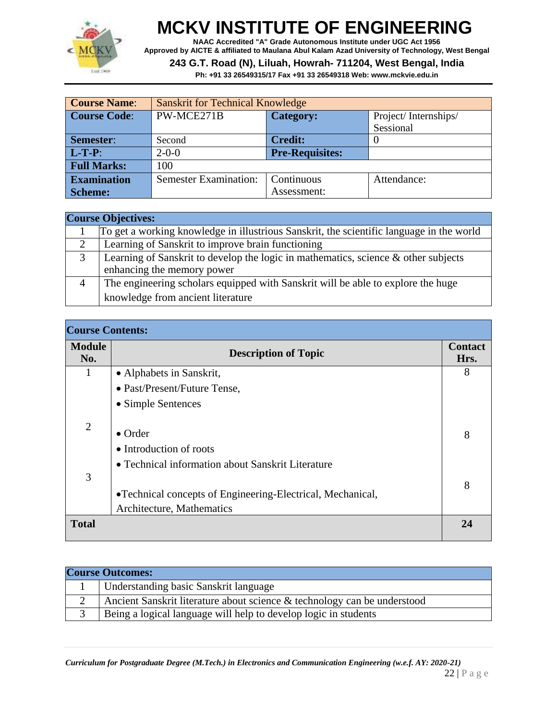

**NAAC Accredited "A" Grade Autonomous Institute under UGC Act 1956 Approved by AICTE & affiliated to Maulana Abul Kalam Azad University of Technology, West Bengal**

#### **243 G.T. Road (N), Liluah, Howrah- 711204, West Bengal, India**

| <b>Course Name:</b> | <b>Sanskrit for Technical Knowledge</b>                   |                                          |           |
|---------------------|-----------------------------------------------------------|------------------------------------------|-----------|
| <b>Course Code:</b> | PW-MCE271B                                                | <b>Category:</b><br>Project/Internships/ |           |
|                     |                                                           |                                          | Sessional |
| Semester:           | <b>Credit:</b><br>Second                                  |                                          |           |
| $L-T-P$ :           | $2 - 0 - 0$                                               | <b>Pre-Requisites:</b>                   |           |
| <b>Full Marks:</b>  | 100                                                       |                                          |           |
| <b>Examination</b>  | <b>Semester Examination:</b><br>Continuous<br>Attendance: |                                          |           |
| <b>Scheme:</b>      |                                                           | Assessment:                              |           |

|   | <b>Course Objectives:</b>                                                                |  |  |
|---|------------------------------------------------------------------------------------------|--|--|
|   | To get a working knowledge in illustrious Sanskrit, the scientific language in the world |  |  |
|   | Learning of Sanskrit to improve brain functioning                                        |  |  |
| 3 | Learning of Sanskrit to develop the logic in mathematics, science & other subjects       |  |  |
|   | enhancing the memory power                                                               |  |  |
|   | The engineering scholars equipped with Sanskrit will be able to explore the huge         |  |  |
|   | knowledge from ancient literature                                                        |  |  |

| <b>Course Contents:</b> |                                                                                          |                        |
|-------------------------|------------------------------------------------------------------------------------------|------------------------|
| <b>Module</b><br>No.    | <b>Description of Topic</b>                                                              | <b>Contact</b><br>Hrs. |
| 1                       | • Alphabets in Sanskrit,                                                                 | 8                      |
|                         | • Past/Present/Future Tense,                                                             |                        |
|                         | • Simple Sentences                                                                       |                        |
| $\overline{2}$          | $\bullet$ Order<br>• Introduction of roots                                               | 8                      |
| 3                       | • Technical information about Sanskrit Literature                                        | 8                      |
|                         | • Technical concepts of Engineering-Electrical, Mechanical,<br>Architecture, Mathematics |                        |
| <b>Total</b>            |                                                                                          | 24                     |

| <b>Course Outcomes:</b>                                                  |
|--------------------------------------------------------------------------|
| Understanding basic Sanskrit language                                    |
| Ancient Sanskrit literature about science & technology can be understood |
| Being a logical language will help to develop logic in students          |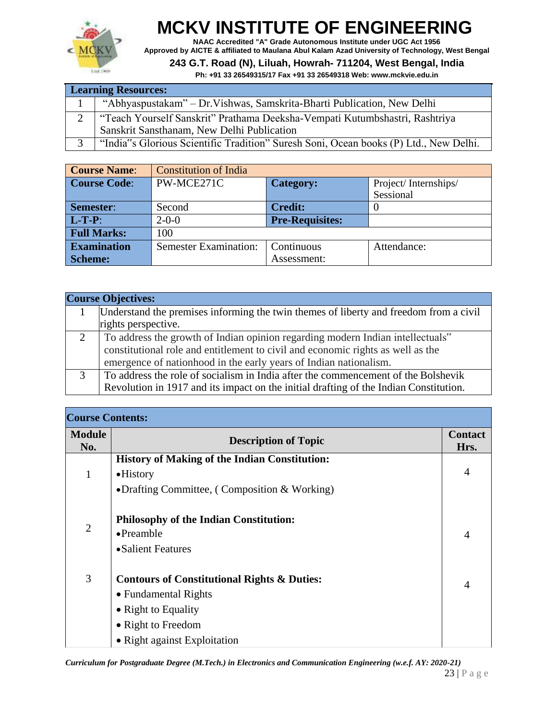

**NAAC Accredited "A" Grade Autonomous Institute under UGC Act 1956 Approved by AICTE & affiliated to Maulana Abul Kalam Azad University of Technology, West Bengal**

**243 G.T. Road (N), Liluah, Howrah- 711204, West Bengal, India**

**Ph: +91 33 26549315/17 Fax +91 33 26549318 Web: [www.mckvie.edu.in](http://www.mckvie.edu.in/)**

| <b>Learning Resources:</b>                                                            |  |
|---------------------------------------------------------------------------------------|--|
| "Abhyaspustakam" - Dr. Vishwas, Samskrita-Bharti Publication, New Delhi               |  |
| "Teach Yourself Sanskrit" Prathama Deeksha-Vempati Kutumbshastri, Rashtriya           |  |
| Sanskrit Sansthanam, New Delhi Publication                                            |  |
| "India"s Glorious Scientific Tradition" Suresh Soni, Ocean books (P) Ltd., New Delhi. |  |

| <b>Course Name:</b> | <b>Constitution of India</b> |                        |                      |
|---------------------|------------------------------|------------------------|----------------------|
| <b>Course Code:</b> | PW-MCE271C                   | <b>Category:</b>       | Project/Internships/ |
|                     |                              |                        | Sessional            |
| Semester:           | Second                       | <b>Credit:</b>         |                      |
| $L-T-P$ :           | $2 - 0 - 0$                  | <b>Pre-Requisites:</b> |                      |
| <b>Full Marks:</b>  | 100                          |                        |                      |
| <b>Examination</b>  | <b>Semester Examination:</b> | Continuous             | Attendance:          |
| <b>Scheme:</b>      |                              | Assessment:            |                      |

|   | <b>Course Objectives:</b>                                                                                    |
|---|--------------------------------------------------------------------------------------------------------------|
|   | Understand the premises informing the twin themes of liberty and freedom from a civil<br>rights perspective. |
|   |                                                                                                              |
| 2 | To address the growth of Indian opinion regarding modern Indian intellectuals"                               |
|   | constitutional role and entitlement to civil and economic rights as well as the                              |
|   | emergence of nationhood in the early years of Indian nationalism.                                            |
| 3 | To address the role of socialism in India after the commencement of the Bolshevik                            |
|   | Revolution in 1917 and its impact on the initial drafting of the Indian Constitution.                        |

| <b>Course Contents:</b> |                                                        |                        |
|-------------------------|--------------------------------------------------------|------------------------|
| <b>Module</b><br>No.    | <b>Description of Topic</b>                            | <b>Contact</b><br>Hrs. |
|                         | <b>History of Making of the Indian Constitution:</b>   |                        |
| 1                       | $\bullet$ History                                      | 4                      |
|                         | • Drafting Committee, (Composition & Working)          |                        |
|                         | <b>Philosophy of the Indian Constitution:</b>          |                        |
| $\overline{2}$          | $\bullet$ Preamble                                     | $\overline{4}$         |
|                         | • Salient Features                                     |                        |
| 3                       | <b>Contours of Constitutional Rights &amp; Duties:</b> | $\overline{4}$         |
|                         | • Fundamental Rights                                   |                        |
|                         | • Right to Equality                                    |                        |
|                         | • Right to Freedom                                     |                        |
|                         | • Right against Exploitation                           |                        |

*Curriculum for Postgraduate Degree (M.Tech.) in Electronics and Communication Engineering (w.e.f. AY: 2020-21)*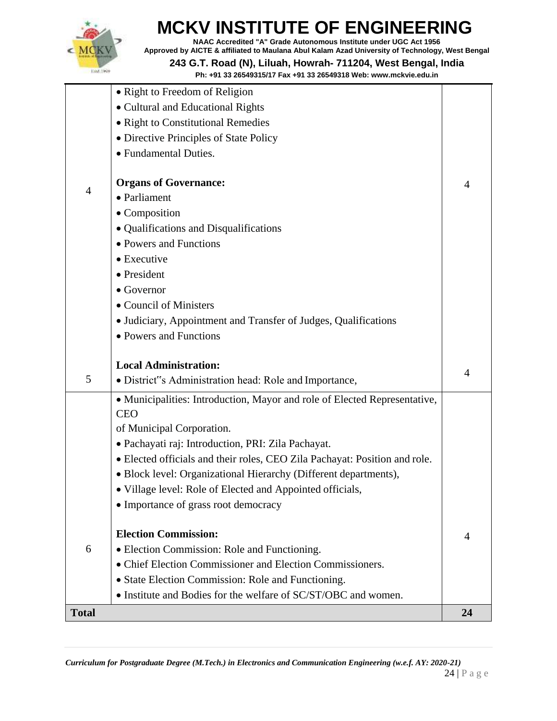

**NAAC Accredited "A" Grade Autonomous Institute under UGC Act 1956 Approved by AICTE & affiliated to Maulana Abul Kalam Azad University of Technology, West Bengal**

**243 G.T. Road (N), Liluah, Howrah- 711204, West Bengal, India**

|              | • Right to Freedom of Religion                                             |                |
|--------------|----------------------------------------------------------------------------|----------------|
|              | • Cultural and Educational Rights                                          |                |
|              | • Right to Constitutional Remedies                                         |                |
|              | • Directive Principles of State Policy                                     |                |
|              | • Fundamental Duties.                                                      |                |
|              |                                                                            |                |
| 4            | <b>Organs of Governance:</b>                                               | 4              |
|              | • Parliament                                                               |                |
|              | • Composition                                                              |                |
|              | • Qualifications and Disqualifications                                     |                |
|              | • Powers and Functions                                                     |                |
|              | • Executive                                                                |                |
|              | • President                                                                |                |
|              | $\bullet$ Governor                                                         |                |
|              | • Council of Ministers                                                     |                |
|              | • Judiciary, Appointment and Transfer of Judges, Qualifications            |                |
|              | • Powers and Functions                                                     |                |
|              |                                                                            |                |
|              | <b>Local Administration:</b>                                               | $\overline{4}$ |
| 5            | · District"s Administration head: Role and Importance,                     |                |
|              | • Municipalities: Introduction, Mayor and role of Elected Representative,  |                |
|              | <b>CEO</b>                                                                 |                |
|              | of Municipal Corporation.                                                  |                |
|              | · Pachayati raj: Introduction, PRI: Zila Pachayat.                         |                |
|              | • Elected officials and their roles, CEO Zila Pachayat: Position and role. |                |
|              | · Block level: Organizational Hierarchy (Different departments),           |                |
|              | • Village level: Role of Elected and Appointed officials,                  |                |
|              | • Importance of grass root democracy                                       |                |
|              |                                                                            |                |
|              | <b>Election Commission:</b>                                                | 4              |
| 6            | • Election Commission: Role and Functioning.                               |                |
|              | • Chief Election Commissioner and Election Commissioners.                  |                |
|              | • State Election Commission: Role and Functioning.                         |                |
|              | • Institute and Bodies for the welfare of SC/ST/OBC and women.             |                |
| <b>Total</b> |                                                                            | 24             |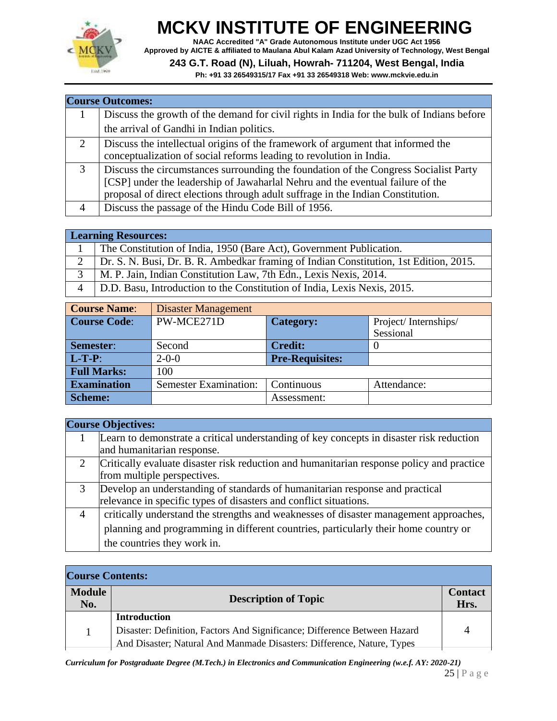

**NAAC Accredited "A" Grade Autonomous Institute under UGC Act 1956 Approved by AICTE & affiliated to Maulana Abul Kalam Azad University of Technology, West Bengal**

#### **243 G.T. Road (N), Liluah, Howrah- 711204, West Bengal, India**

**Ph: +91 33 26549315/17 Fax +91 33 26549318 Web: [www.mckvie.edu.in](http://www.mckvie.edu.in/)**

|                | <b>Course Outcomes:</b>                                                                   |
|----------------|-------------------------------------------------------------------------------------------|
|                | Discuss the growth of the demand for civil rights in India for the bulk of Indians before |
|                | the arrival of Gandhi in Indian politics.                                                 |
| $\overline{2}$ | Discuss the intellectual origins of the framework of argument that informed the           |
|                | conceptualization of social reforms leading to revolution in India.                       |
| 3              | Discuss the circumstances surrounding the foundation of the Congress Socialist Party      |
|                | [CSP] under the leadership of Jawaharlal Nehru and the eventual failure of the            |
|                | proposal of direct elections through adult suffrage in the Indian Constitution.           |
| 4              | Discuss the passage of the Hindu Code Bill of 1956.                                       |

#### **Learning Resources:** 1 The Constitution of India, 1950 (Bare Act), Government Publication. 2 Dr. S. N. Busi, Dr. B. R. Ambedkar framing of Indian Constitution, 1st Edition, 2015. 3 M. P. Jain, Indian Constitution Law, 7th Edn., Lexis Nexis, 2014. 4 D.D. Basu, Introduction to the Constitution of India, Lexis Nexis, 2015.

| <b>Course Name:</b> | <b>Disaster Management</b>   |                        |                      |
|---------------------|------------------------------|------------------------|----------------------|
| <b>Course Code:</b> | PW-MCE271D                   | <b>Category:</b>       | Project/Internships/ |
|                     |                              |                        | Sessional            |
| <b>Semester:</b>    | Second                       | <b>Credit:</b>         |                      |
| $L-T-P$ :           | $2 - 0 - 0$                  | <b>Pre-Requisites:</b> |                      |
| <b>Full Marks:</b>  | 100                          |                        |                      |
| <b>Examination</b>  | <b>Semester Examination:</b> | Continuous             | Attendance:          |
| <b>Scheme:</b>      |                              | Assessment:            |                      |

|                | <b>Course Objectives:</b>                                                                 |
|----------------|-------------------------------------------------------------------------------------------|
|                | Learn to demonstrate a critical understanding of key concepts in disaster risk reduction  |
|                | and humanitarian response.                                                                |
|                | Critically evaluate disaster risk reduction and humanitarian response policy and practice |
|                | from multiple perspectives.                                                               |
|                | Develop an understanding of standards of humanitarian response and practical              |
|                | relevance in specific types of disasters and conflict situations.                         |
| $\overline{4}$ | critically understand the strengths and weaknesses of disaster management approaches,     |
|                | planning and programming in different countries, particularly their home country or       |
|                | the countries they work in.                                                               |

| <b>Course Contents:</b> |                                                                           |                        |
|-------------------------|---------------------------------------------------------------------------|------------------------|
| <b>Module</b><br>No.    | <b>Description of Topic</b>                                               | <b>Contact</b><br>Hrs. |
|                         | <b>Introduction</b>                                                       |                        |
|                         | Disaster: Definition, Factors And Significance; Difference Between Hazard | 4                      |
|                         | And Disaster; Natural And Manmade Disasters: Difference, Nature, Types    |                        |

*Curriculum for Postgraduate Degree (M.Tech.) in Electronics and Communication Engineering (w.e.f. AY: 2020-21)*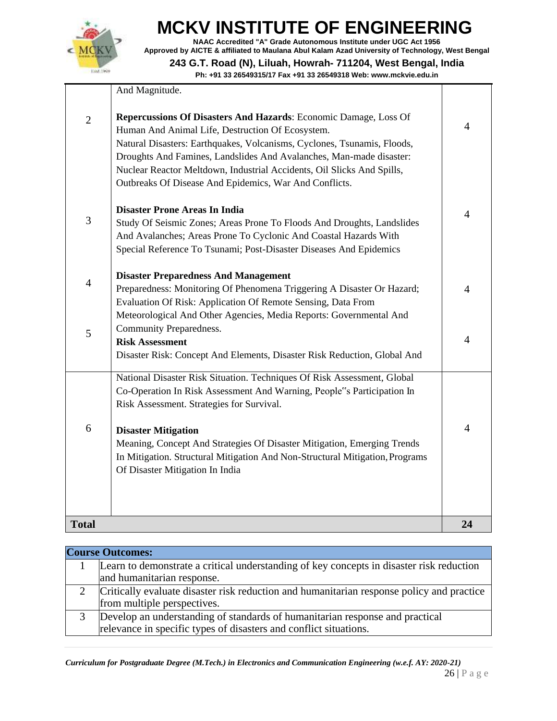

**NAAC Accredited "A" Grade Autonomous Institute under UGC Act 1956 Approved by AICTE & affiliated to Maulana Abul Kalam Azad University of Technology, West Bengal 243 G.T. Road (N), Liluah, Howrah- 711204, West Bengal, India**

|                | And Magnitude.                                                                                                                                                                                                                                                                                                                                                                                             |                |
|----------------|------------------------------------------------------------------------------------------------------------------------------------------------------------------------------------------------------------------------------------------------------------------------------------------------------------------------------------------------------------------------------------------------------------|----------------|
| $\overline{2}$ | Repercussions Of Disasters And Hazards: Economic Damage, Loss Of<br>Human And Animal Life, Destruction Of Ecosystem.<br>Natural Disasters: Earthquakes, Volcanisms, Cyclones, Tsunamis, Floods,<br>Droughts And Famines, Landslides And Avalanches, Man-made disaster:<br>Nuclear Reactor Meltdown, Industrial Accidents, Oil Slicks And Spills,<br>Outbreaks Of Disease And Epidemics, War And Conflicts. | $\overline{4}$ |
| 3              | <b>Disaster Prone Areas In India</b><br>Study Of Seismic Zones; Areas Prone To Floods And Droughts, Landslides<br>And Avalanches; Areas Prone To Cyclonic And Coastal Hazards With<br>Special Reference To Tsunami; Post-Disaster Diseases And Epidemics                                                                                                                                                   | 4              |
| $\overline{4}$ | <b>Disaster Preparedness And Management</b><br>Preparedness: Monitoring Of Phenomena Triggering A Disaster Or Hazard;<br>Evaluation Of Risk: Application Of Remote Sensing, Data From<br>Meteorological And Other Agencies, Media Reports: Governmental And                                                                                                                                                | 4              |
| 5              | Community Preparedness.<br><b>Risk Assessment</b><br>Disaster Risk: Concept And Elements, Disaster Risk Reduction, Global And                                                                                                                                                                                                                                                                              | $\overline{4}$ |
|                | National Disaster Risk Situation. Techniques Of Risk Assessment, Global<br>Co-Operation In Risk Assessment And Warning, People"s Participation In<br>Risk Assessment. Strategies for Survival.                                                                                                                                                                                                             |                |
| 6              | <b>Disaster Mitigation</b><br>Meaning, Concept And Strategies Of Disaster Mitigation, Emerging Trends<br>In Mitigation. Structural Mitigation And Non-Structural Mitigation, Programs<br>Of Disaster Mitigation In India                                                                                                                                                                                   | 4              |
| <b>Total</b>   |                                                                                                                                                                                                                                                                                                                                                                                                            | 24             |

| <b>Course Outcomes:</b>                                                                   |
|-------------------------------------------------------------------------------------------|
| Learn to demonstrate a critical understanding of key concepts in disaster risk reduction  |
| and humanitarian response.                                                                |
| Critically evaluate disaster risk reduction and humanitarian response policy and practice |
| from multiple perspectives.                                                               |
| Develop an understanding of standards of humanitarian response and practical              |
| relevance in specific types of disasters and conflict situations.                         |